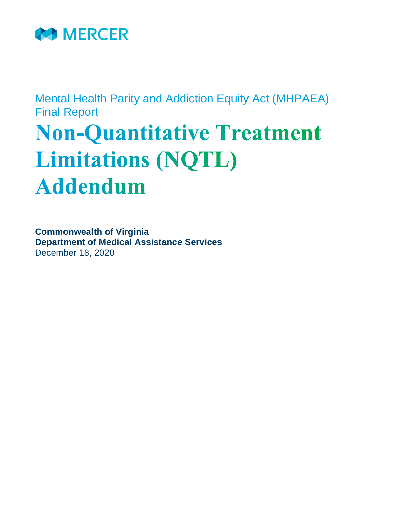

Mental Health Parity and Addiction Equity Act (MHPAEA) Final Report

# **Non-Quantitative Treatment Limitations (NQTL) Addendum**

**Commonwealth of Virginia Department of Medical Assistance Services** December 18, 2020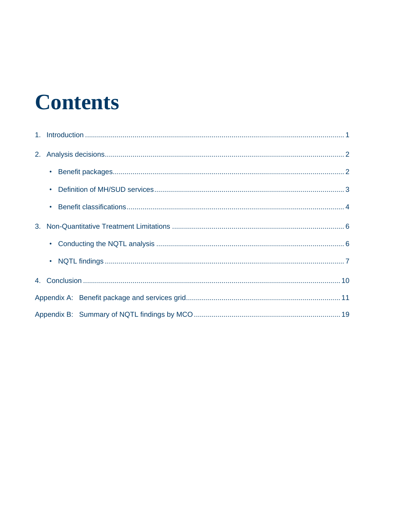# **Contents**

| $\bullet$ |  |
|-----------|--|
|           |  |
|           |  |
| $\bullet$ |  |
|           |  |
|           |  |
|           |  |
|           |  |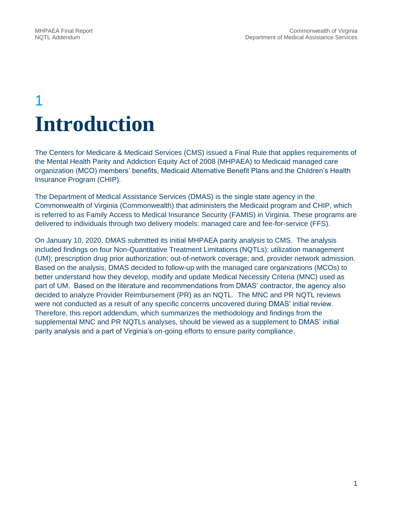# 1 **Introduction**

The Centers for Medicare & Medicaid Services (CMS) issued a Final Rule that applies requirements of the Mental Health Parity and Addiction Equity Act of 2008 (MHPAEA) to Medicaid managed care organization (MCO) members' benefits, Medicaid Alternative Benefit Plans and the Children's Health Insurance Program (CHIP).

The Department of Medical Assistance Services (DMAS) is the single state agency in the Commonwealth of Virginia (Commonwealth) that administers the Medicaid program and CHIP, which is referred to as Family Access to Medical Insurance Security (FAMIS) in Virginia. These programs are delivered to individuals through two delivery models: managed care and fee-for-service (FFS).

On January 10, 2020, DMAS submitted its initial MHPAEA parity analysis to CMS. The analysis included findings on four Non-Quantitative Treatment Limitations (NQTLs): utilization management (UM); prescription drug prior authorization; out-of-network coverage; and, provider network admission. Based on the analysis, DMAS decided to follow-up with the managed care organizations (MCOs) to better understand how they develop, modify and update Medical Necessity Criteria (MNC) used as part of UM. Based on the literature and recommendations from DMAS' contractor, the agency also decided to analyze Provider Reimbursement (PR) as an NQTL. The MNC and PR NQTL reviews were not conducted as a result of any specific concerns uncovered during DMAS' initial review. Therefore, this report addendum, which summarizes the methodology and findings from the supplemental MNC and PR NQTLs analyses, should be viewed as a supplement to DMAS' initial parity analysis and a part of Virginia's on-going efforts to ensure parity compliance.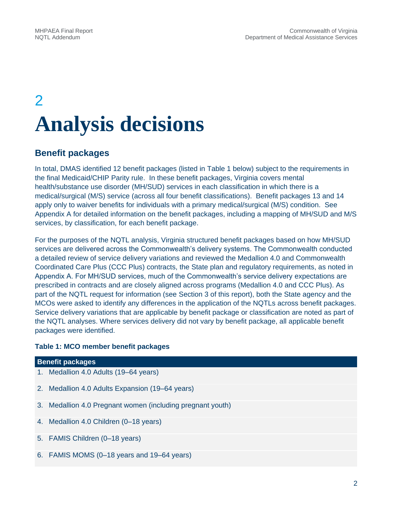# 2 **Analysis decisions**

## **Benefit packages**

In total, DMAS identified 12 benefit packages (listed in Table 1 below) subject to the requirements in the final Medicaid/CHIP Parity rule. In these benefit packages, Virginia covers mental health/substance use disorder (MH/SUD) services in each classification in which there is a medical/surgical (M/S) service (across all four benefit classifications). Benefit packages 13 and 14 apply only to waiver benefits for individuals with a primary medical/surgical (M/S) condition. See Appendix A for detailed information on the benefit packages, including a mapping of MH/SUD and M/S services, by classification, for each benefit package.

For the purposes of the NQTL analysis, Virginia structured benefit packages based on how MH/SUD services are delivered across the Commonwealth's delivery systems. The Commonwealth conducted a detailed review of service delivery variations and reviewed the Medallion 4.0 and Commonwealth Coordinated Care Plus (CCC Plus) contracts, the State plan and regulatory requirements, as noted in Appendix A. For MH/SUD services, much of the Commonwealth's service delivery expectations are prescribed in contracts and are closely aligned across programs (Medallion 4.0 and CCC Plus). As part of the NQTL request for information (see Section 3 of this report), both the State agency and the MCOs were asked to identify any differences in the application of the NQTLs across benefit packages. Service delivery variations that are applicable by benefit package or classification are noted as part of the NQTL analyses. Where services delivery did not vary by benefit package, all applicable benefit packages were identified.

#### **Table 1: MCO member benefit packages**

| <b>Benefit packages</b>                                    |
|------------------------------------------------------------|
| 1. Medallion 4.0 Adults (19–64 years)                      |
| 2. Medallion 4.0 Adults Expansion (19–64 years)            |
| 3. Medallion 4.0 Pregnant women (including pregnant youth) |
| 4. Medallion 4.0 Children (0-18 years)                     |
| 5. FAMIS Children (0-18 years)                             |
| 6. FAMIS MOMS (0-18 years and 19-64 years)                 |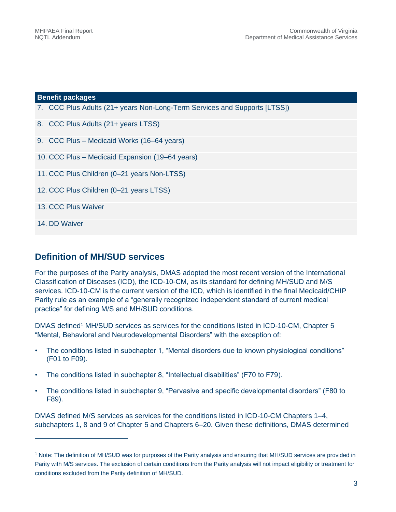#### **Benefit packages**

- 7. CCC Plus Adults (21+ years Non-Long-Term Services and Supports [LTSS])
- 8. CCC Plus Adults (21+ years LTSS)
- 9. CCC Plus Medicaid Works (16–64 years)
- 10. CCC Plus Medicaid Expansion (19–64 years)
- 11. CCC Plus Children (0–21 years Non-LTSS)
- 12. CCC Plus Children (0–21 years LTSS)
- 13. CCC Plus Waiver
- 14. DD Waiver

j

### **Definition of MH/SUD services**

For the purposes of the Parity analysis, DMAS adopted the most recent version of the International Classification of Diseases (ICD), the ICD-10-CM, as its standard for defining MH/SUD and M/S services. ICD-10-CM is the current version of the ICD, which is identified in the final Medicaid/CHIP Parity rule as an example of a "generally recognized independent standard of current medical practice" for defining M/S and MH/SUD conditions.

DMAS defined<sup>1</sup> MH/SUD services as services for the conditions listed in ICD-10-CM, Chapter 5 "Mental, Behavioral and Neurodevelopmental Disorders" with the exception of:

- The conditions listed in subchapter 1, "Mental disorders due to known physiological conditions" (F01 to F09).
- The conditions listed in subchapter 8, "Intellectual disabilities" (F70 to F79).
- The conditions listed in subchapter 9, "Pervasive and specific developmental disorders" (F80 to F89).

DMAS defined M/S services as services for the conditions listed in ICD-10-CM Chapters 1–4, subchapters 1, 8 and 9 of Chapter 5 and Chapters 6–20. Given these definitions, DMAS determined

<sup>1</sup> Note: The definition of MH/SUD was for purposes of the Parity analysis and ensuring that MH/SUD services are provided in Parity with M/S services. The exclusion of certain conditions from the Parity analysis will not impact eligibility or treatment for conditions excluded from the Parity definition of MH/SUD.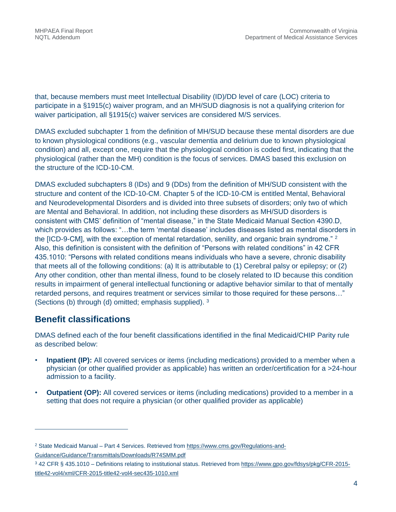that, because members must meet Intellectual Disability (ID)/DD level of care (LOC) criteria to participate in a §1915(c) waiver program, and an MH/SUD diagnosis is not a qualifying criterion for waiver participation, all §1915(c) waiver services are considered M/S services.

DMAS excluded subchapter 1 from the definition of MH/SUD because these mental disorders are due to known physiological conditions (e.g., vascular dementia and delirium due to known physiological condition) and all, except one, require that the physiological condition is coded first, indicating that the physiological (rather than the MH) condition is the focus of services. DMAS based this exclusion on the structure of the ICD-10-CM.

DMAS excluded subchapters 8 (IDs) and 9 (DDs) from the definition of MH/SUD consistent with the structure and content of the ICD-10-CM. Chapter 5 of the ICD-10-CM is entitled Mental, Behavioral and Neurodevelopmental Disorders and is divided into three subsets of disorders; only two of which are Mental and Behavioral. In addition, not including these disorders as MH/SUD disorders is consistent with CMS' definition of "mental disease," in the State Medicaid Manual Section 4390.D, which provides as follows: "…the term 'mental disease' includes diseases listed as mental disorders in the [ICD-9-CM], with the exception of mental retardation, senility, and organic brain syndrome."  $2$ Also, this definition is consistent with the definition of "Persons with related conditions" in 42 CFR 435.1010: "Persons with related conditions means individuals who have a severe, chronic disability that meets all of the following conditions: (a) It is attributable to (1) Cerebral palsy or epilepsy; or (2) Any other condition, other than mental illness, found to be closely related to ID because this condition results in impairment of general intellectual functioning or adaptive behavior similar to that of mentally retarded persons, and requires treatment or services similar to those required for these persons…" (Sections (b) through (d) omitted; emphasis supplied). <sup>3</sup>

## **Benefit classifications**

j

DMAS defined each of the four benefit classifications identified in the final Medicaid/CHIP Parity rule as described below:

- **Inpatient (IP):** All covered services or items (including medications) provided to a member when a physician (or other qualified provider as applicable) has written an order/certification for a >24-hour admission to a facility.
- **Outpatient (OP):** All covered services or items (including medications) provided to a member in a setting that does not require a physician (or other qualified provider as applicable)

<sup>2</sup> State Medicaid Manual – Part 4 Services. Retrieved from [https://www.cms.gov/Regulations-and-](https://www.cms.gov/Regulations-and-Guidance/Guidance/Transmittals/Downloads/R74SMM.pdf)[Guidance/Guidance/Transmittals/Downloads/R74SMM.pdf](https://www.cms.gov/Regulations-and-Guidance/Guidance/Transmittals/Downloads/R74SMM.pdf)

<sup>3</sup> 42 CFR § 435.1010 – Definitions relating to institutional status. Retrieved from [https://www.gpo.gov/fdsys/pkg/CFR-2015](https://www.gpo.gov/fdsys/pkg/CFR-2015-title42-vol4/xml/CFR-2015-title42-vol4-sec435-1010.xml) [title42-vol4/xml/CFR-2015-title42-vol4-sec435-1010.xml](https://www.gpo.gov/fdsys/pkg/CFR-2015-title42-vol4/xml/CFR-2015-title42-vol4-sec435-1010.xml)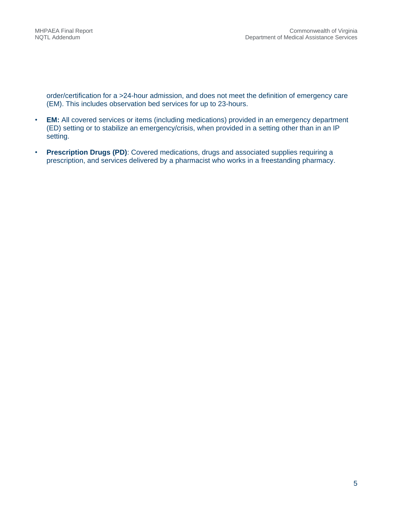order/certification for a >24-hour admission, and does not meet the definition of emergency care (EM). This includes observation bed services for up to 23-hours.

- **EM:** All covered services or items (including medications) provided in an emergency department (ED) setting or to stabilize an emergency/crisis, when provided in a setting other than in an IP setting.
- **Prescription Drugs (PD)**: Covered medications, drugs and associated supplies requiring a prescription, and services delivered by a pharmacist who works in a freestanding pharmacy.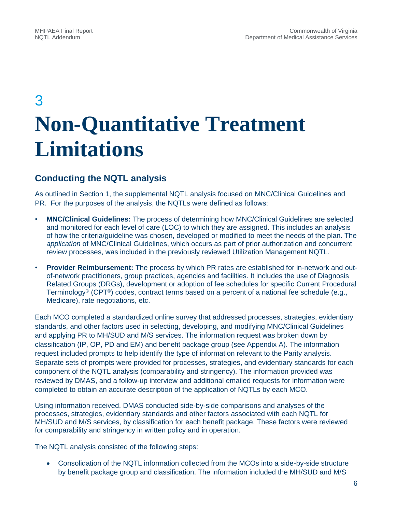# 3 **Non-Quantitative Treatment Limitations**

# **Conducting the NQTL analysis**

As outlined in Section 1, the supplemental NQTL analysis focused on MNC/Clinical Guidelines and PR. For the purposes of the analysis, the NQTLs were defined as follows:

- **MNC/Clinical Guidelines:** The process of determining how MNC/Clinical Guidelines are selected and monitored for each level of care (LOC) to which they are assigned. This includes an analysis of how the criteria/guideline was chosen, developed or modified to meet the needs of the plan. The *application* of MNC/Clinical Guidelines, which occurs as part of prior authorization and concurrent review processes, was included in the previously reviewed Utilization Management NQTL.
- **Provider Reimbursement:** The process by which PR rates are established for in-network and outof-network practitioners, group practices, agencies and facilities. It includes the use of Diagnosis Related Groups (DRGs), development or adoption of fee schedules for specific Current Procedural Terminology® (CPT®) codes, contract terms based on a percent of a national fee schedule (e.g., Medicare), rate negotiations, etc.

Each MCO completed a standardized online survey that addressed processes, strategies, evidentiary standards, and other factors used in selecting, developing, and modifying MNC/Clinical Guidelines and applying PR to MH/SUD and M/S services. The information request was broken down by classification (IP, OP, PD and EM) and benefit package group (see Appendix A). The information request included prompts to help identify the type of information relevant to the Parity analysis. Separate sets of prompts were provided for processes, strategies, and evidentiary standards for each component of the NQTL analysis (comparability and stringency). The information provided was reviewed by DMAS, and a follow-up interview and additional emailed requests for information were completed to obtain an accurate description of the application of NQTLs by each MCO.

Using information received, DMAS conducted side-by-side comparisons and analyses of the processes, strategies, evidentiary standards and other factors associated with each NQTL for MH/SUD and M/S services, by classification for each benefit package. These factors were reviewed for comparability and stringency in written policy and in operation.

The NQTL analysis consisted of the following steps:

 Consolidation of the NQTL information collected from the MCOs into a side-by-side structure by benefit package group and classification. The information included the MH/SUD and M/S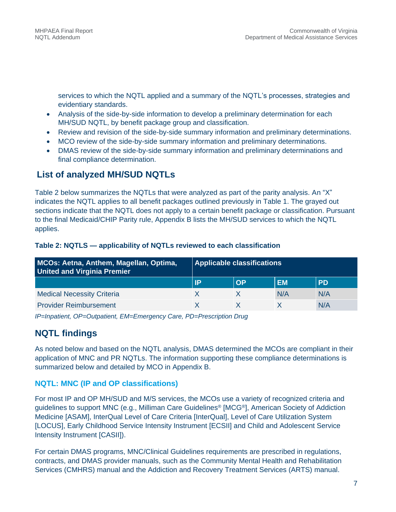services to which the NQTL applied and a summary of the NQTL's processes, strategies and evidentiary standards.

- Analysis of the side-by-side information to develop a preliminary determination for each MH/SUD NQTL, by benefit package group and classification.
- Review and revision of the side-by-side summary information and preliminary determinations.
- MCO review of the side-by-side summary information and preliminary determinations.
- DMAS review of the side-by-side summary information and preliminary determinations and final compliance determination.

## **List of analyzed MH/SUD NQTLs**

Table 2 below summarizes the NQTLs that were analyzed as part of the parity analysis. An "X" indicates the NQTL applies to all benefit packages outlined previously in Table 1. The grayed out sections indicate that the NQTL does not apply to a certain benefit package or classification. Pursuant to the final Medicaid/CHIP Parity rule, Appendix B lists the MH/SUD services to which the NQTL applies.

#### **Table 2: NQTLS — applicability of NQTLs reviewed to each classification**

| MCOs: Aetna, Anthem, Magellan, Optima,<br><b>United and Virginia Premier</b> |    | <b>Applicable classifications</b> |           |           |
|------------------------------------------------------------------------------|----|-----------------------------------|-----------|-----------|
|                                                                              | IP | OP                                | <b>EM</b> | <b>PD</b> |
| <b>Medical Necessity Criteria</b>                                            |    |                                   | N/A       | N/A       |
| <b>Provider Reimbursement</b>                                                |    |                                   |           | N/A       |

*IP=Inpatient, OP=Outpatient, EM=Emergency Care, PD=Prescription Drug*

## **NQTL findings**

As noted below and based on the NQTL analysis, DMAS determined the MCOs are compliant in their application of MNC and PR NQTLs. The information supporting these compliance determinations is summarized below and detailed by MCO in Appendix B.

### **NQTL: MNC (IP and OP classifications)**

For most IP and OP MH/SUD and M/S services, the MCOs use a variety of recognized criteria and guidelines to support MNC (e.g., Milliman Care Guidelines® [MCG®], American Society of Addiction Medicine [ASAM], InterQual Level of Care Criteria [InterQual], Level of Care Utilization System [LOCUS], Early Childhood Service Intensity Instrument [ECSII] and Child and Adolescent Service Intensity Instrument [CASII]).

For certain DMAS programs, MNC/Clinical Guidelines requirements are prescribed in regulations, contracts, and DMAS provider manuals, such as the Community Mental Health and Rehabilitation Services (CMHRS) manual and the Addiction and Recovery Treatment Services (ARTS) manual.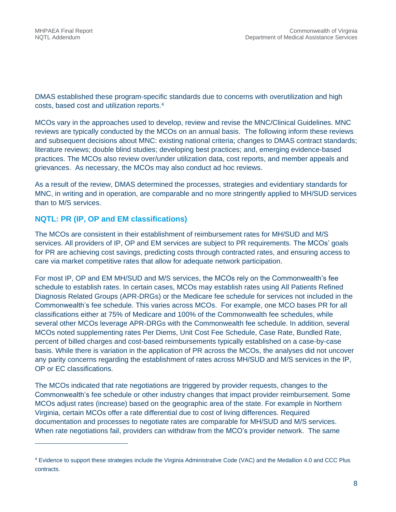$\overline{a}$ 

DMAS established these program-specific standards due to concerns with overutilization and high costs, based cost and utilization reports.<sup>4</sup>

MCOs vary in the approaches used to develop, review and revise the MNC/Clinical Guidelines. MNC reviews are typically conducted by the MCOs on an annual basis. The following inform these reviews and subsequent decisions about MNC: existing national criteria; changes to DMAS contract standards; literature reviews; double blind studies; developing best practices; and, emerging evidence-based practices. The MCOs also review over/under utilization data, cost reports, and member appeals and grievances. As necessary, the MCOs may also conduct ad hoc reviews.

As a result of the review, DMAS determined the processes, strategies and evidentiary standards for MNC, in writing and in operation, are comparable and no more stringently applied to MH/SUD services than to M/S services.

### **NQTL: PR (IP, OP and EM classifications)**

The MCOs are consistent in their establishment of reimbursement rates for MH/SUD and M/S services. All providers of IP, OP and EM services are subject to PR requirements. The MCOs' goals for PR are achieving cost savings, predicting costs through contracted rates, and ensuring access to care via market competitive rates that allow for adequate network participation.

For most IP, OP and EM MH/SUD and M/S services, the MCOs rely on the Commonwealth's fee schedule to establish rates. In certain cases, MCOs may establish rates using All Patients Refined Diagnosis Related Groups (APR-DRGs) or the Medicare fee schedule for services not included in the Commonwealth's fee schedule. This varies across MCOs. For example, one MCO bases PR for all classifications either at 75% of Medicare and 100% of the Commonwealth fee schedules, while several other MCOs leverage APR-DRGs with the Commonwealth fee schedule. In addition, several MCOs noted supplementing rates Per Diems, Unit Cost Fee Schedule, Case Rate, Bundled Rate, percent of billed charges and cost-based reimbursements typically established on a case-by-case basis. While there is variation in the application of PR across the MCOs, the analyses did not uncover any parity concerns regarding the establishment of rates across MH/SUD and M/S services in the IP, OP or EC classifications.

The MCOs indicated that rate negotiations are triggered by provider requests, changes to the Commonwealth's fee schedule or other industry changes that impact provider reimbursement. Some MCOs adjust rates (increase) based on the geographic area of the state. For example in Northern Virginia, certain MCOs offer a rate differential due to cost of living differences. Required documentation and processes to negotiate rates are comparable for MH/SUD and M/S services. When rate negotiations fail, providers can withdraw from the MCO's provider network. The same

<sup>4</sup> Evidence to support these strategies include the Virginia Administrative Code (VAC) and the Medallion 4.0 and CCC Plus contracts.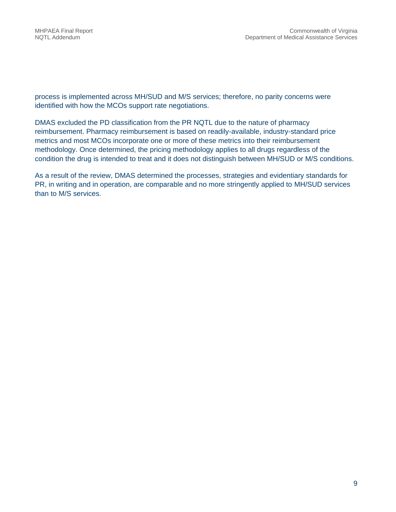process is implemented across MH/SUD and M/S services; therefore, no parity concerns were identified with how the MCOs support rate negotiations.

DMAS excluded the PD classification from the PR NQTL due to the nature of pharmacy reimbursement. Pharmacy reimbursement is based on readily-available, industry-standard price metrics and most MCOs incorporate one or more of these metrics into their reimbursement methodology. Once determined, the pricing methodology applies to all drugs regardless of the condition the drug is intended to treat and it does not distinguish between MH/SUD or M/S conditions.

As a result of the review, DMAS determined the processes, strategies and evidentiary standards for PR, in writing and in operation, are comparable and no more stringently applied to MH/SUD services than to M/S services.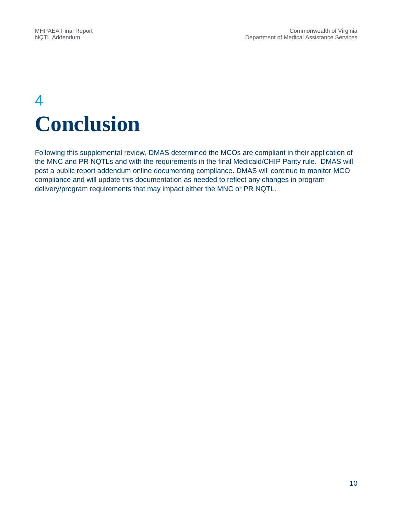# 4 **Conclusion**

Following this supplemental review, DMAS determined the MCOs are compliant in their application of the MNC and PR NQTLs and with the requirements in the final Medicaid/CHIP Parity rule. DMAS will post a public report addendum online documenting compliance. DMAS will continue to monitor MCO compliance and will update this documentation as needed to reflect any changes in program delivery/program requirements that may impact either the MNC or PR NQTL.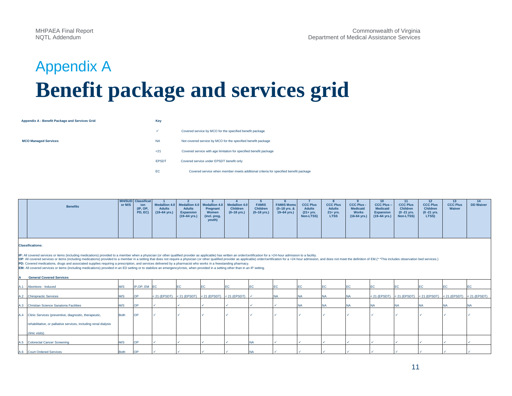# Appendix A **Benefit package and services grid**

#### **Appendix A - Benefit Package and Services Grid Key**

**MCO Managed Services** 

| ✓            | Covered service by MCO for the specified benefit package                            |
|--------------|-------------------------------------------------------------------------------------|
| <b>NA</b>    | Not covered service by MCO for the specified benefit package                        |
| 21           | Covered service with age limitation for specified benefit package                   |
| <b>EPSDT</b> | Covered service under EPSDT benefit only                                            |
| EC           | Covered service when member meets additional criteria for specified benefit package |

| <b>Benefits</b> | or M/S | <b>MH/SUD</b> Classificat<br>ion<br>(IP, OP, | <b>Adults</b>          | <b>Adults</b>            | Pregnant                        | Medallion 4.0 Medallion 4.0 Medallion 4.0 Medallion 4.0<br><b>Children</b> | <b>FAMIS</b><br><b>Children</b> | <b>FAMIS Moms</b><br>$(0-18$ yrs. & | <b>CCC Plus</b><br><b>Adults</b> | <b>CCC Plus</b><br><b>Adults</b> | <b>CCC Plus -</b><br><b>Medicaid</b> | <b>CCC Plus-</b><br><b>Medicaid</b>                               | <b>CCC Plus</b><br><b>Children</b> | <b>CCC Plus</b><br>Children | <b>CCC Plus</b><br>Waiver | <b>DD Waiver</b> |
|-----------------|--------|----------------------------------------------|------------------------|--------------------------|---------------------------------|----------------------------------------------------------------------------|---------------------------------|-------------------------------------|----------------------------------|----------------------------------|--------------------------------------|-------------------------------------------------------------------|------------------------------------|-----------------------------|---------------------------|------------------|
|                 |        | PD, EC)                                      | $(19-64 \text{ yrs.})$ | Expansion<br>(19-64 yrs. | Women<br>(incl. preg.<br>youth) | $(0-18$ yrs.)                                                              | (0–18 yrs.)                     | 19–64 yrs.)                         | $(21 + yrs.$<br>Non-LTSS)        | $21 + yrs.$<br><b>LTSS</b>       | <b>Works</b>                         | <b>Expansion</b><br>$(16-64 \text{ yrs.})$ $(19-64 \text{ yrs.})$ | $(0 - 21$ yrs.<br>Non-LTSS)        | $(0 - 21$ yrs.<br>LTSS)     |                           |                  |
|                 |        |                                              |                        |                          |                                 |                                                                            |                                 |                                     |                                  |                                  |                                      |                                                                   |                                    |                             |                           |                  |

#### **Classifications:**

IP: All covered services or items (including medications) provided to a member when a physician (or other qualified provider as applicable) has written an order/certification for a >24-hour admission to a facility.<br>OP: All

**PD:** Covered medications, drugs and associated supplies requiring a prescription, and services delivered by a pharmacist who works in a freestanding pharmacy.

**EM:** All covered services or items (including medications) provided in an ED setting or to stabilize an emergency/crisis, when provided in a setting other than in an IP setting.

| A   | <b>General Covered Services</b>                                  |             |               |  |                                                       |  |  |           |           |                                                                               |     |           |  |
|-----|------------------------------------------------------------------|-------------|---------------|--|-------------------------------------------------------|--|--|-----------|-----------|-------------------------------------------------------------------------------|-----|-----------|--|
| A.1 | Abortions - Induced                                              | M/S         | IP, OP, EM EC |  | <b>IEC</b>                                            |  |  | <b>EC</b> | EC        |                                                                               | EC  | EС        |  |
|     | A.2 Chiropractic Services                                        | M/S         | OP            |  | < 21 (EPSDT) < 21 (EPSDT) < 21 (EPSDT) < 21 (EPSDT) < |  |  | <b>NA</b> | INA.      | < 21 (EPSDT) < 21 (EPSDT) < 21 (EPSDT) < 21 (EPSDT) < 21 (EPSDT) < 21 (EPSDT) |     |           |  |
|     | A.3 Christian Science Sanatoria Facilities                       | M/S         | OP            |  |                                                       |  |  | <b>NA</b> | <b>NA</b> |                                                                               | NA. | <b>NA</b> |  |
|     | A.4 Clinic Services (preventive, diagnostic, therapeutic,        | <b>Both</b> | OP            |  |                                                       |  |  |           |           |                                                                               |     |           |  |
|     | rehabilitative, or palliative services, including renal dialysis |             |               |  |                                                       |  |  |           |           |                                                                               |     |           |  |
|     | clinic visits)                                                   |             |               |  |                                                       |  |  |           |           |                                                                               |     |           |  |
|     | A.5 Colorectal Cancer Screening                                  | M/S         | OP            |  |                                                       |  |  |           |           |                                                                               |     |           |  |
|     | A.6 Court Ordered Services                                       | <b>Both</b> | OP            |  |                                                       |  |  |           |           |                                                                               |     |           |  |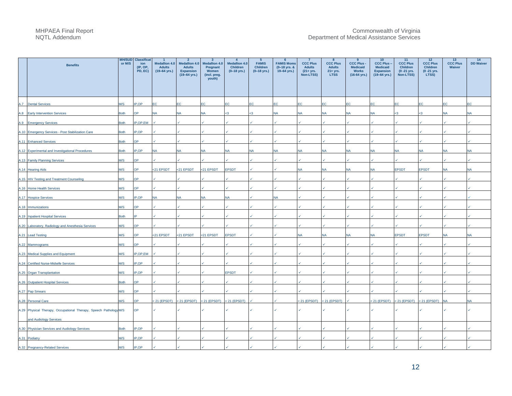|      | <b>Benefits</b>                                                   | <b>MH/SUD</b><br>or M/S | <b>Classificat</b><br>ion<br>(IP, OP,<br>PD, EC) | $\blacktriangleleft$<br><b>Medallion 4.0</b><br><b>Adults</b><br>$(19 - 64$ yrs.) | $\overline{2}$<br><b>Medallion 4.0</b><br><b>Adults</b><br><b>Expansion</b><br>$(19-64 \text{ yrs.})$ | $\mathbf{3}$<br><b>Medallion 4.0</b><br>Pregnant<br>Women<br>(incl. preg.<br>youth) | $\overline{\mathbf{4}}$<br><b>Medallion 4.0</b><br><b>Children</b><br>$(0-18$ yrs.) | $5^{\circ}$<br><b>FAMIS</b><br><b>Children</b><br>$(0-18$ yrs.) | - 6<br><b>FAMIS Moms</b><br>(0-18 yrs. &<br>$19 - 64$ yrs.) | $\overline{7}$<br><b>CCC Plus</b><br><b>Adults</b><br>$(21 + yrs.$<br>Non-LTSS) | 8<br><b>CCC Plus</b><br><b>Adults</b><br>$21 + yrs.$<br><b>LTSS</b> | -9<br><b>CCC Plus -</b><br><b>Medicaid</b><br><b>Works</b><br>$(16-64 \text{ yrs.})$ | 10<br><b>CCC Plus -</b><br><b>Medicaid</b><br><b>Expansion</b><br>$(19-64$ yrs.) | 11<br><b>CCC Plus</b><br><b>Children</b><br>(0 - 21 yrs.<br>Non-LTSS) | 12<br><b>CCC Plus</b><br><b>Children</b><br>$(0 - 21$ yrs.<br>LTSS) | 13<br><b>CCC Plus</b><br>Waiver | 14<br><b>DD Waiver</b> |
|------|-------------------------------------------------------------------|-------------------------|--------------------------------------------------|-----------------------------------------------------------------------------------|-------------------------------------------------------------------------------------------------------|-------------------------------------------------------------------------------------|-------------------------------------------------------------------------------------|-----------------------------------------------------------------|-------------------------------------------------------------|---------------------------------------------------------------------------------|---------------------------------------------------------------------|--------------------------------------------------------------------------------------|----------------------------------------------------------------------------------|-----------------------------------------------------------------------|---------------------------------------------------------------------|---------------------------------|------------------------|
|      | A.7 Dental Services                                               | M/S                     | IP.OP                                            | EC                                                                                | ЕC                                                                                                    | EC.                                                                                 | ЕC                                                                                  | <b>EC</b>                                                       | EC                                                          | EC                                                                              | EC                                                                  | EC                                                                                   | ЕC                                                                               | ЕC                                                                    | EC                                                                  | EС                              | ЕC                     |
| A.8  | <b>Early Intervention Services</b>                                | <b>Both</b>             | )P                                               | <b>NA</b>                                                                         | N۵                                                                                                    | NA                                                                                  |                                                                                     |                                                                 | <b>NA</b>                                                   | <b>NA</b>                                                                       | <b>NA</b>                                                           | <b>NA</b>                                                                            | <b>NA</b>                                                                        | -3                                                                    |                                                                     | NА                              | NА                     |
|      | A.9 Emergency Services                                            | Both                    | IP,OP,EM                                         |                                                                                   |                                                                                                       |                                                                                     |                                                                                     |                                                                 |                                                             |                                                                                 |                                                                     |                                                                                      |                                                                                  |                                                                       |                                                                     |                                 |                        |
|      | A.10 Emergency Services - Post Stabilization Care                 | <b>Both</b>             | IP,OP                                            |                                                                                   |                                                                                                       |                                                                                     |                                                                                     |                                                                 |                                                             |                                                                                 |                                                                     |                                                                                      |                                                                                  |                                                                       |                                                                     |                                 |                        |
|      | A.11 Enhanced Services                                            | <b>Both</b>             | )P                                               |                                                                                   |                                                                                                       |                                                                                     |                                                                                     |                                                                 |                                                             |                                                                                 |                                                                     |                                                                                      |                                                                                  |                                                                       |                                                                     |                                 |                        |
|      | A.12 Experimental and Investigational Procedures                  | Both                    | P,OP                                             | <b>NA</b>                                                                         |                                                                                                       | NA                                                                                  | NA                                                                                  | NA                                                              | NA                                                          | <b>NA</b>                                                                       | <b>NA</b>                                                           | NA                                                                                   | NA                                                                               | NA                                                                    | <b>NA</b>                                                           |                                 | NA                     |
|      | A.13 Family Planning Services                                     | M/S                     | <b>OC</b>                                        |                                                                                   |                                                                                                       |                                                                                     |                                                                                     |                                                                 |                                                             |                                                                                 |                                                                     |                                                                                      |                                                                                  |                                                                       |                                                                     |                                 |                        |
|      | A.14 Hearing Aids                                                 | M/S                     | OP                                               | <21 EPSDT                                                                         | <21 EPSDT                                                                                             | <21 EPSDT                                                                           | <b>EPSDT</b>                                                                        |                                                                 |                                                             |                                                                                 | NA                                                                  | <b>NA</b>                                                                            | NA                                                                               | <b>EPSDT</b>                                                          | <b>EPSDT</b>                                                        | JA                              | NA                     |
|      | A.15 HIV Testing and Treatment Counseling                         | M/S                     | <b>JP</b>                                        |                                                                                   |                                                                                                       |                                                                                     |                                                                                     |                                                                 |                                                             |                                                                                 |                                                                     |                                                                                      |                                                                                  |                                                                       |                                                                     |                                 |                        |
|      | A.16 Home Health Services                                         | M/S                     | <b>JP</b>                                        |                                                                                   |                                                                                                       |                                                                                     |                                                                                     |                                                                 |                                                             |                                                                                 |                                                                     |                                                                                      |                                                                                  |                                                                       |                                                                     |                                 |                        |
|      | A.17 Hospice Services                                             | M/S                     | P.OP                                             | <b>NA</b>                                                                         |                                                                                                       | <b>NA</b>                                                                           | NA                                                                                  |                                                                 | <b>NV</b>                                                   |                                                                                 |                                                                     |                                                                                      |                                                                                  |                                                                       |                                                                     |                                 |                        |
|      | A.18 Immunizations                                                | M/S                     | )P                                               |                                                                                   |                                                                                                       |                                                                                     |                                                                                     |                                                                 |                                                             |                                                                                 |                                                                     |                                                                                      |                                                                                  |                                                                       |                                                                     |                                 |                        |
|      | A.19 Inpatient Hospital Services                                  | <b>Both</b>             |                                                  |                                                                                   |                                                                                                       |                                                                                     |                                                                                     |                                                                 |                                                             |                                                                                 |                                                                     |                                                                                      |                                                                                  |                                                                       |                                                                     |                                 |                        |
|      | A.20 Laboratory, Radiology and Anesthesia Services                | M/S                     | <b>PC</b>                                        |                                                                                   |                                                                                                       |                                                                                     |                                                                                     |                                                                 |                                                             |                                                                                 |                                                                     |                                                                                      |                                                                                  |                                                                       |                                                                     |                                 |                        |
| A.21 | <b>Lead Testing</b>                                               | M/S                     | <b>OC</b>                                        | <21 EPSDT                                                                         | <21 EPSDT                                                                                             | <21 EPSDT                                                                           | <b>EPSDT</b>                                                                        |                                                                 |                                                             | <b>NA</b>                                                                       | <b>NA</b>                                                           | <b>NA</b>                                                                            | <b>NA</b>                                                                        | <b>EPSDT</b>                                                          | <b>EPSDT</b>                                                        | <b>NA</b>                       | <b>NA</b>              |
|      | A.22 Mammograms                                                   | M/S                     | <b>PC</b>                                        |                                                                                   |                                                                                                       |                                                                                     |                                                                                     |                                                                 |                                                             |                                                                                 |                                                                     |                                                                                      |                                                                                  |                                                                       |                                                                     |                                 |                        |
|      | A.23 Medical Supplies and Equipment                               | M/S                     | IP,OP,EM                                         |                                                                                   |                                                                                                       |                                                                                     |                                                                                     |                                                                 |                                                             |                                                                                 |                                                                     |                                                                                      |                                                                                  |                                                                       |                                                                     |                                 |                        |
|      | A.24 Certified Nurse-Midwife Services                             | M/S                     | IP.OP                                            |                                                                                   |                                                                                                       |                                                                                     |                                                                                     |                                                                 |                                                             |                                                                                 |                                                                     |                                                                                      |                                                                                  |                                                                       |                                                                     |                                 |                        |
|      | A.25 Organ Transplantation                                        | M/S                     | IP,OP                                            |                                                                                   |                                                                                                       |                                                                                     | <b>EPSDT</b>                                                                        |                                                                 |                                                             |                                                                                 |                                                                     |                                                                                      |                                                                                  |                                                                       |                                                                     |                                 |                        |
|      | A.26 Outpatient Hospital Services                                 | <b>Both</b>             | )P                                               |                                                                                   |                                                                                                       |                                                                                     |                                                                                     |                                                                 |                                                             |                                                                                 |                                                                     |                                                                                      |                                                                                  |                                                                       |                                                                     |                                 |                        |
|      | A.27 Pap Smears                                                   | M/S                     | )P                                               |                                                                                   |                                                                                                       |                                                                                     |                                                                                     |                                                                 |                                                             |                                                                                 |                                                                     |                                                                                      |                                                                                  |                                                                       |                                                                     |                                 |                        |
|      | A.28 Personal Care                                                | M/S                     | <b>OP</b>                                        |                                                                                   | $< 21$ (EPSDT) $< 21$ (EPSDT) $< 21$ (EPSDT)                                                          |                                                                                     | $< 21$ (EPSDT)                                                                      |                                                                 |                                                             |                                                                                 | $< 21$ (EPSDT) $< 21$ (EPSDT)                                       |                                                                                      | $< 21$ (EPSDT) $< 21$ (EPSDT)                                                    |                                                                       | < 21 (EPSDT) NA                                                     |                                 | N٨                     |
|      | A.29 Physical Therapy, Occupational Therapy, Speech Pathology M/S |                         | OP                                               |                                                                                   |                                                                                                       |                                                                                     |                                                                                     |                                                                 |                                                             |                                                                                 |                                                                     |                                                                                      |                                                                                  |                                                                       |                                                                     |                                 |                        |
|      | and Audiology Services                                            |                         |                                                  |                                                                                   |                                                                                                       |                                                                                     |                                                                                     |                                                                 |                                                             |                                                                                 |                                                                     |                                                                                      |                                                                                  |                                                                       |                                                                     |                                 |                        |
|      | A.30 Physician Services and Audiology Services                    | Both                    | IP,OP                                            |                                                                                   |                                                                                                       |                                                                                     |                                                                                     |                                                                 |                                                             |                                                                                 |                                                                     |                                                                                      |                                                                                  |                                                                       |                                                                     |                                 |                        |
|      | A.31 Podiatry                                                     | M/S                     | P.OP                                             |                                                                                   |                                                                                                       |                                                                                     |                                                                                     |                                                                 |                                                             |                                                                                 |                                                                     |                                                                                      |                                                                                  |                                                                       |                                                                     |                                 |                        |
|      | A.32 Pregnancy-Related Services                                   | M/S                     | IP.OP                                            |                                                                                   |                                                                                                       |                                                                                     |                                                                                     |                                                                 |                                                             |                                                                                 |                                                                     |                                                                                      |                                                                                  |                                                                       |                                                                     |                                 |                        |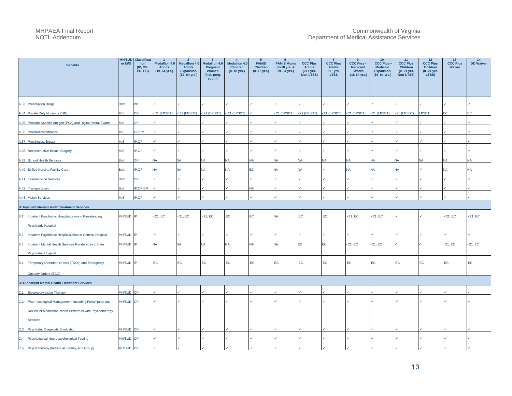|            | <b>Benefits</b>                                                                      | <b>MH/SUD</b><br>or M/S | <b>Classificat</b><br>ion<br>$(IP, OP,$ PD, EC) | $\overline{1}$<br><b>Medallion 4.0</b><br><b>Adults</b><br>$(19-64$ yrs.) | $\overline{2}$<br><b>Medallion 4.0</b><br><b>Adults</b><br><b>Expansion</b><br>$(19 - 64$ yrs.) | $\mathbf{3}$<br><b>Medallion 4.0</b><br>Pregnant<br>Women<br>(incl. preg.<br>youth) | $\overline{4}$<br><b>Medallion 4.0</b><br><b>Children</b><br>$(0-18$ yrs.) | 5<br><b>FAMIS</b><br><b>Children</b><br>$(0-18$ yrs.) | - 6<br><b>FAMIS Moms</b><br>(0-18 yrs. &<br>$19-64$ yrs.) | $\overline{7}$<br><b>CCC Plus</b><br><b>Adults</b><br>$(21 + yrs.$<br>Non-LTSS) | 8<br><b>CCC Plus</b><br><b>Adults</b><br>21+ yrs.<br><b>LTSS</b> | $\mathbf{q}$<br><b>CCC Plus -</b><br><b>Medicaid</b><br><b>Works</b><br>$(16-64 \text{ yrs.})$ | 10<br><b>CCC Plus-</b><br><b>Medicaid</b><br><b>Expansion</b><br>$(19 - 64$ yrs.) | 11<br><b>CCC Plus</b><br><b>Children</b><br>$(0 - 21$ yrs.<br>Non-LTSS) | 12<br><b>CCC Plus</b><br><b>Children</b><br>$(0 - 21$ yrs.<br>LTSS) | 13<br><b>CCC Plus</b><br>Waiver | 14<br><b>DD Waiver</b> |
|------------|--------------------------------------------------------------------------------------|-------------------------|-------------------------------------------------|---------------------------------------------------------------------------|-------------------------------------------------------------------------------------------------|-------------------------------------------------------------------------------------|----------------------------------------------------------------------------|-------------------------------------------------------|-----------------------------------------------------------|---------------------------------------------------------------------------------|------------------------------------------------------------------|------------------------------------------------------------------------------------------------|-----------------------------------------------------------------------------------|-------------------------------------------------------------------------|---------------------------------------------------------------------|---------------------------------|------------------------|
|            | A.33 Prescription Drugs                                                              | <b>Both</b>             | PD                                              |                                                                           |                                                                                                 |                                                                                     |                                                                            |                                                       |                                                           |                                                                                 |                                                                  |                                                                                                |                                                                                   |                                                                         |                                                                     |                                 |                        |
|            | A.34 Private Duty Nursing (PDN)                                                      | M/S                     | <b>AC</b>                                       | $< 21$ (EPSDT)                                                            | < 21 (EPSDT) < 21 (EPSDT)                                                                       |                                                                                     | $< 21$ (EPSDT)                                                             |                                                       | <21 (EPSDT)                                               | $<$ 21 (EPSDT)                                                                  | $<$ 21 (EPSDT) $<$ 21 (EPSDT)                                    |                                                                                                | $<$ 21 (EPSDT)                                                                    | $<$ 21 (EPSDT)                                                          | <b>EPSDT</b>                                                        |                                 | ΞC.                    |
|            | A.35 Prostate Specific Antigen (PSA) and Digital Rectal Exams                        | M/S                     | <b>OP</b>                                       |                                                                           |                                                                                                 |                                                                                     |                                                                            |                                                       |                                                           |                                                                                 |                                                                  |                                                                                                |                                                                                   |                                                                         |                                                                     |                                 |                        |
|            | A.36 Prosthetics/Orthotics                                                           | M/S                     | OP,EM                                           |                                                                           |                                                                                                 |                                                                                     |                                                                            |                                                       |                                                           |                                                                                 |                                                                  |                                                                                                |                                                                                   |                                                                         |                                                                     |                                 |                        |
|            | A.37 Prostheses, Breast                                                              | M/S                     | P.OP                                            |                                                                           |                                                                                                 |                                                                                     |                                                                            |                                                       |                                                           |                                                                                 |                                                                  |                                                                                                |                                                                                   |                                                                         |                                                                     |                                 |                        |
|            | A.38 Reconstructive Breast Surgery                                                   | M/S                     | P,OP                                            |                                                                           |                                                                                                 |                                                                                     |                                                                            |                                                       |                                                           |                                                                                 |                                                                  |                                                                                                |                                                                                   |                                                                         |                                                                     |                                 |                        |
|            | A.39 School Health Services                                                          | <b>Both</b>             | OP.                                             | N٨                                                                        |                                                                                                 | <b>NA</b>                                                                           | <b>NA</b>                                                                  | <b>NA</b>                                             | <b>NA</b>                                                 | <b>NA</b>                                                                       | <b>NA</b>                                                        | <b>NA</b>                                                                                      | <b>NA</b>                                                                         | <b>NA</b>                                                               | <b>NA</b>                                                           | JA                              | <b>NA</b>              |
|            | A.40 Skilled Nursing Facility Care                                                   | <b>Both</b>             | P.OP                                            | <b>NA</b>                                                                 |                                                                                                 | <b>NA</b>                                                                           | <b>NA</b>                                                                  | FΩ                                                    | <b>NA</b>                                                 | <b>NA</b>                                                                       |                                                                  | <b>NA</b>                                                                                      | <b>NA</b>                                                                         | <b>NA</b>                                                               |                                                                     |                                 | NА                     |
|            | A.41 Telemedicine Services                                                           | <b>Both</b>             | OP.                                             |                                                                           |                                                                                                 |                                                                                     |                                                                            |                                                       |                                                           |                                                                                 |                                                                  |                                                                                                |                                                                                   |                                                                         |                                                                     |                                 |                        |
|            | A.42 Transportation                                                                  | <b>Both</b>             | P,OP,EM                                         |                                                                           |                                                                                                 |                                                                                     |                                                                            | <b>NA</b>                                             |                                                           |                                                                                 |                                                                  |                                                                                                |                                                                                   |                                                                         |                                                                     |                                 |                        |
|            | A.43 Vision Services                                                                 | M/S                     | IP.OP                                           |                                                                           |                                                                                                 |                                                                                     |                                                                            |                                                       |                                                           |                                                                                 |                                                                  |                                                                                                |                                                                                   |                                                                         |                                                                     |                                 |                        |
|            | <b>B: Inpatient Mental Health Treatment Services</b>                                 |                         |                                                 |                                                                           |                                                                                                 |                                                                                     |                                                                            |                                                       |                                                           |                                                                                 |                                                                  |                                                                                                |                                                                                   |                                                                         |                                                                     |                                 |                        |
| <b>B.1</b> | Inpatient Psychiatric Hospitalization in Freestanding<br><b>Psychiatric Hospital</b> | MH/SUD IP               |                                                 | $<$ 21, EC                                                                | $<$ 21, EC                                                                                      | $<$ 21, EC                                                                          | EC                                                                         | EC.                                                   | <b>NA</b>                                                 | EC                                                                              | EC                                                               | $<$ 21, EC                                                                                     | $<$ 21, EC                                                                        |                                                                         | $\checkmark$                                                        | $<$ 21, EC                      | $<$ 21, EC             |
| B.2        | Inpatient Psychiatric Hospitalization in General Hospital                            | MH/SUD                  |                                                 |                                                                           |                                                                                                 |                                                                                     |                                                                            |                                                       |                                                           |                                                                                 |                                                                  |                                                                                                |                                                                                   |                                                                         |                                                                     |                                 |                        |
| <b>B.3</b> | Inpatient Mental Health Services Rendered in a State                                 | MH/SUD IP               |                                                 | NA                                                                        | <b>NA</b>                                                                                       | <b>NA</b>                                                                           | <b>NA</b>                                                                  | <b>NA</b>                                             | <b>NA</b>                                                 | <b>EC</b>                                                                       | <b>EC</b>                                                        | $<$ 21, EC                                                                                     | $<$ 21, EC                                                                        |                                                                         |                                                                     | $<$ 21, EC                      | $<$ 21, EC             |
| <b>B.4</b> | <b>Psychiatric Hospital</b><br>Temporary Detention Orders (TDOs) and Emergency       | MH/SUD IP               |                                                 | EC                                                                        | EC                                                                                              | EC                                                                                  | EC                                                                         | EC                                                    | EC                                                        | $\mathsf{EC}$                                                                   | EC                                                               | $\mathsf{EC}$                                                                                  | EC                                                                                | EC                                                                      | EC                                                                  | EC                              | EC                     |
|            | Custody Orders (ECO)                                                                 |                         |                                                 |                                                                           |                                                                                                 |                                                                                     |                                                                            |                                                       |                                                           |                                                                                 |                                                                  |                                                                                                |                                                                                   |                                                                         |                                                                     |                                 |                        |
|            | <b>C: Outpatient Mental Health Treatment Services</b>                                |                         |                                                 |                                                                           |                                                                                                 |                                                                                     |                                                                            |                                                       |                                                           |                                                                                 |                                                                  |                                                                                                |                                                                                   |                                                                         |                                                                     |                                 |                        |
| C.1        | <b>Electroconvulsive Therapy</b>                                                     | MH/SUD OP               |                                                 |                                                                           |                                                                                                 |                                                                                     |                                                                            |                                                       |                                                           |                                                                                 |                                                                  |                                                                                                |                                                                                   |                                                                         |                                                                     |                                 |                        |
|            | C.2 Pharmacological Management, Including Prescription and                           | MH/SUD OP               |                                                 |                                                                           |                                                                                                 |                                                                                     |                                                                            |                                                       |                                                           |                                                                                 |                                                                  |                                                                                                |                                                                                   |                                                                         |                                                                     |                                 |                        |
|            | Review of Medication, when Performed with Psychotherapy                              |                         |                                                 |                                                                           |                                                                                                 |                                                                                     |                                                                            |                                                       |                                                           |                                                                                 |                                                                  |                                                                                                |                                                                                   |                                                                         |                                                                     |                                 |                        |
|            | Services                                                                             |                         |                                                 |                                                                           |                                                                                                 |                                                                                     |                                                                            |                                                       |                                                           |                                                                                 |                                                                  |                                                                                                |                                                                                   |                                                                         |                                                                     |                                 |                        |
| C.3        | Psychiatric Diagnostic Evaluation                                                    | MH/SUD OP               |                                                 |                                                                           |                                                                                                 |                                                                                     |                                                                            |                                                       |                                                           |                                                                                 |                                                                  |                                                                                                |                                                                                   |                                                                         |                                                                     |                                 |                        |
| C.4        | Psychological-Neuropsychological Testing                                             | MH/SUD OP               |                                                 |                                                                           |                                                                                                 |                                                                                     |                                                                            |                                                       |                                                           |                                                                                 |                                                                  |                                                                                                |                                                                                   |                                                                         |                                                                     |                                 |                        |
|            | C.5 Psychotherapy (Individual, Family, and Group)                                    | MH/SUD OP               |                                                 |                                                                           |                                                                                                 |                                                                                     |                                                                            |                                                       |                                                           |                                                                                 |                                                                  |                                                                                                |                                                                                   |                                                                         |                                                                     |                                 |                        |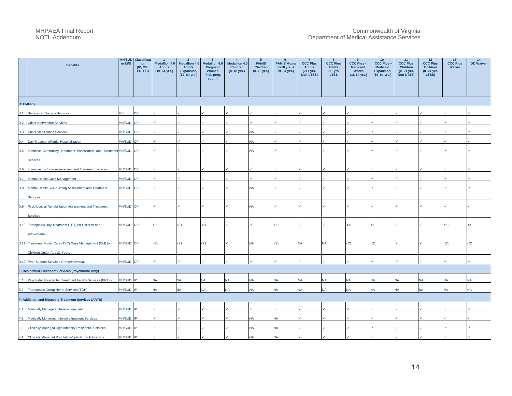| <b>Benefits</b>                                                                  | or M/S           | <b>MH/SUD</b> Classificat<br>ion<br>$(IP, OP,$ PD, EC) | $\overline{1}$<br><b>Medallion 4.0</b><br><b>Adults</b><br>$(19 - 64$ yrs.) | $2^{\circ}$<br><b>Medallion 4.0</b><br><b>Adults</b><br><b>Expansion</b><br>$(19 - 64$ yrs.) | $\mathbf{3}$<br><b>Medallion 4.0</b><br>Pregnant<br>Women<br>(incl. preg.<br>youth) | $\overline{4}$<br><b>Medallion 4.0</b><br>Children<br>$(0-18$ yrs.) | $5\overline{5}$<br><b>FAMIS</b><br><b>Children</b><br>$(0 - 18$ yrs.) | 6<br><b>FAMIS Moms</b><br>$(0-18$ yrs. &<br>19-64 yrs.) | $\overline{7}$<br><b>CCC Plus</b><br><b>Adults</b><br>$(21 + yrs.$<br>Non-LTSS) | 8<br><b>CCC Plus</b><br><b>Adults</b><br>21+ yrs.<br><b>LTSS</b> | 9<br><b>CCC Plus -</b><br><b>Medicaid</b><br><b>Works</b><br>$(16-64$ yrs.) | 10<br><b>CCC Plus -</b><br><b>Medicaid</b><br><b>Expansion</b><br>$(19 - 64$ yrs.) | 11<br><b>CCC Plus</b><br><b>Children</b><br>$(0 - 21$ yrs.<br>Non-LTSS) | 12<br><b>CCC Plus</b><br>Children<br>$(0 - 21$ yrs.<br>LTSS) | 13<br><b>CCC Plus</b><br>Waiver | 14<br><b>DD Waiver</b> |
|----------------------------------------------------------------------------------|------------------|--------------------------------------------------------|-----------------------------------------------------------------------------|----------------------------------------------------------------------------------------------|-------------------------------------------------------------------------------------|---------------------------------------------------------------------|-----------------------------------------------------------------------|---------------------------------------------------------|---------------------------------------------------------------------------------|------------------------------------------------------------------|-----------------------------------------------------------------------------|------------------------------------------------------------------------------------|-------------------------------------------------------------------------|--------------------------------------------------------------|---------------------------------|------------------------|
|                                                                                  |                  |                                                        |                                                                             |                                                                                              |                                                                                     |                                                                     |                                                                       |                                                         |                                                                                 |                                                                  |                                                                             |                                                                                    |                                                                         |                                                              |                                 |                        |
| <b>D: CMHRS</b>                                                                  |                  |                                                        |                                                                             |                                                                                              |                                                                                     |                                                                     |                                                                       |                                                         |                                                                                 |                                                                  |                                                                             |                                                                                    |                                                                         |                                                              |                                 |                        |
| D.1 Behavioral Therapy Services                                                  | <b>M/S</b>       | ЭP                                                     |                                                                             |                                                                                              |                                                                                     |                                                                     |                                                                       |                                                         |                                                                                 |                                                                  |                                                                             |                                                                                    |                                                                         |                                                              |                                 |                        |
| D.2<br><b>Crisis Intervention Services</b>                                       | MH/SUD OP        |                                                        |                                                                             |                                                                                              |                                                                                     |                                                                     |                                                                       |                                                         |                                                                                 |                                                                  |                                                                             |                                                                                    |                                                                         |                                                              |                                 |                        |
| <b>D.3 Crisis Stabilization Services</b>                                         | <b>MH/SUD OP</b> |                                                        |                                                                             |                                                                                              |                                                                                     |                                                                     | NA                                                                    |                                                         |                                                                                 |                                                                  |                                                                             |                                                                                    |                                                                         |                                                              |                                 |                        |
| Day Treatment/Partial Hospitalization<br>D.4                                     | MH/SUD OP        |                                                        |                                                                             |                                                                                              |                                                                                     |                                                                     | NA                                                                    |                                                         |                                                                                 |                                                                  |                                                                             |                                                                                    |                                                                         |                                                              |                                 |                        |
| D.5 Intensive Community Treatment Assessment and Treatment MH/SUD OP<br>Services |                  |                                                        | ✓                                                                           |                                                                                              |                                                                                     |                                                                     | NA                                                                    |                                                         |                                                                                 |                                                                  |                                                                             |                                                                                    |                                                                         |                                                              |                                 |                        |
| D.6 Intensive In-Home Assessment and Treatment Services                          | MH/SUD OP        |                                                        |                                                                             |                                                                                              |                                                                                     |                                                                     |                                                                       |                                                         |                                                                                 |                                                                  |                                                                             |                                                                                    |                                                                         |                                                              |                                 |                        |
| D.7<br>Mental Health Case Management                                             | MH/SUD OP        |                                                        |                                                                             |                                                                                              |                                                                                     |                                                                     |                                                                       |                                                         |                                                                                 |                                                                  |                                                                             |                                                                                    |                                                                         |                                                              |                                 |                        |
| D.8 Mental Health Skill-building Assessment and Treatment<br>Services            | MH/SUD OP        |                                                        |                                                                             |                                                                                              |                                                                                     |                                                                     | <b>NA</b>                                                             |                                                         |                                                                                 |                                                                  |                                                                             |                                                                                    |                                                                         |                                                              |                                 |                        |
| D.9<br>Psychosocial Rehabilitation Assessment and Treatment                      | MH/SUD OP        |                                                        |                                                                             |                                                                                              |                                                                                     |                                                                     | <b>NA</b>                                                             |                                                         |                                                                                 |                                                                  |                                                                             |                                                                                    |                                                                         |                                                              |                                 |                        |
| Services<br>D.10 Therapeutic Day Treatment (TDT) for Children and                | MH/SUD OP        |                                                        | 21                                                                          | $21$                                                                                         | $21$                                                                                |                                                                     |                                                                       | $21$                                                    |                                                                                 |                                                                  | <21                                                                         | 21                                                                                 |                                                                         |                                                              | $21$                            | $21$                   |
| Adolescents<br>D.11 Treatment Foster Care (TFC) Case Management (CM) for         | MH/SUD OP        |                                                        | $21$                                                                        | 21                                                                                           | $21$                                                                                |                                                                     | <b>NA</b>                                                             | $21$                                                    | <b>NA</b>                                                                       | <b>NA</b>                                                        | $21$                                                                        | $21$                                                                               | ✓                                                                       |                                                              | $21$                            | 21                     |
| Children Under Age 21 Years<br>D.12 Peer Support Services Group/Individual       | MH/SUD OP        |                                                        |                                                                             |                                                                                              |                                                                                     |                                                                     |                                                                       |                                                         |                                                                                 |                                                                  |                                                                             |                                                                                    |                                                                         |                                                              |                                 |                        |
| E: Residential Treatment Services (Psychiatric Only)                             |                  |                                                        |                                                                             |                                                                                              |                                                                                     |                                                                     |                                                                       |                                                         |                                                                                 |                                                                  |                                                                             |                                                                                    |                                                                         |                                                              |                                 |                        |
| E.1 Psychiatric Residential Treatment Facility Services (PRTF)                   | MH/SUD           |                                                        | <b>NV</b>                                                                   |                                                                                              | NΑ                                                                                  | <b>NA</b>                                                           | <b>NA</b>                                                             | JA                                                      | NA                                                                              | <b>NA</b>                                                        | <b>NA</b>                                                                   | <b>NA</b>                                                                          | <b>NA</b>                                                               | <b>NA</b>                                                    | NА                              | <b>NA</b>              |
| Therapeutic Group Home Services (TGH)<br>E.2                                     | MH/SUD IP        |                                                        | <b>NA</b>                                                                   | JA                                                                                           | <b>NA</b>                                                                           | <b>NA</b>                                                           | <b>NA</b>                                                             | <b>NA</b>                                               | NA                                                                              | <b>NA</b>                                                        | <b>NA</b>                                                                   | <b>NA</b>                                                                          | <b>NA</b>                                                               | <b>NA</b>                                                    | <b>NA</b>                       | <b>NA</b>              |
| F: Addiction and Recovery Treatment Services (ARTS)                              |                  |                                                        |                                                                             |                                                                                              |                                                                                     |                                                                     |                                                                       |                                                         |                                                                                 |                                                                  |                                                                             |                                                                                    |                                                                         |                                                              |                                 |                        |
| Medically Managed Intensive Inpatient<br>$F.1 -$                                 | MH/SUD IP        |                                                        |                                                                             |                                                                                              |                                                                                     |                                                                     |                                                                       |                                                         |                                                                                 |                                                                  |                                                                             |                                                                                    |                                                                         |                                                              |                                 |                        |
| F.2<br>Medically Monitored Intensive Inpatient Services                          | MH/SUD IP        |                                                        |                                                                             |                                                                                              |                                                                                     |                                                                     | NΑ                                                                    | NA                                                      |                                                                                 |                                                                  |                                                                             |                                                                                    |                                                                         |                                                              |                                 |                        |
| F.3 Clinically Managed High Intensity Residential Services                       | <b>MH/SUD</b>    |                                                        |                                                                             |                                                                                              |                                                                                     |                                                                     | NA                                                                    | ٩A                                                      |                                                                                 |                                                                  |                                                                             |                                                                                    |                                                                         |                                                              |                                 |                        |
| F.4 Clinically Managed Population-Specific High Intensity                        | MH/SUD IP        |                                                        |                                                                             |                                                                                              |                                                                                     |                                                                     | <b>NA</b>                                                             | <b>NA</b>                                               |                                                                                 |                                                                  |                                                                             |                                                                                    |                                                                         |                                                              |                                 |                        |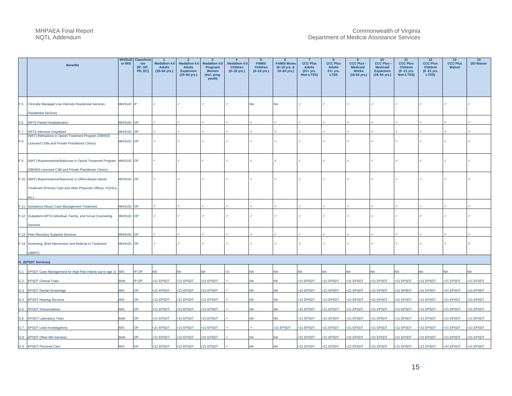|     | <b>Benefits</b>                                                                                                                  | <b>MH/SUD</b><br>or M/S | <b>Classifica</b><br>ion<br>(IP, OP,<br>PD, EC) | <b>Medallion 4.0</b><br><b>Adults</b><br>$(19-64$ yrs.) | $\overline{2}$<br><b>Medallion 4.0</b><br><b>Adults</b><br><b>Expansion</b> | $\overline{\mathbf{3}}$<br><b>Medallion 4.0</b><br>Pregnant<br>Women | $\overline{4}$<br><b>Medallion 4.0</b><br><b>Children</b><br>$(0-18$ yrs.) | $5\overline{5}$<br><b>FAMIS</b><br><b>Children</b><br>$(0-18$ yrs.) | <b>FAMIS Moms</b><br>(0-18 yrs. &<br>$19-64$ yrs.) | $\overline{7}$<br><b>CCC Plus</b><br><b>Adults</b><br>$(21 + yrs.$ | 8<br><b>CCC Plus</b><br><b>Adults</b><br>21+ yrs. | <b>CCC Plus -</b><br><b>Medicaid</b><br><b>Works</b> | 10 <sub>1</sub><br><b>CCC Plus-</b><br><b>Medicaid</b><br><b>Expansion</b> | 11<br><b>CCC Plus</b><br><b>Children</b><br>$(0 - 21$ yrs. | 12<br><b>CCC Plus</b><br><b>Children</b><br>(0 - 21 yrs. | 13<br><b>CCC Plus</b><br>Waiver | 14<br><b>DD Waiver</b> |
|-----|----------------------------------------------------------------------------------------------------------------------------------|-------------------------|-------------------------------------------------|---------------------------------------------------------|-----------------------------------------------------------------------------|----------------------------------------------------------------------|----------------------------------------------------------------------------|---------------------------------------------------------------------|----------------------------------------------------|--------------------------------------------------------------------|---------------------------------------------------|------------------------------------------------------|----------------------------------------------------------------------------|------------------------------------------------------------|----------------------------------------------------------|---------------------------------|------------------------|
|     |                                                                                                                                  |                         |                                                 |                                                         | $(19 - 64$ yrs.)                                                            | (incl. preg.<br>youth)                                               |                                                                            |                                                                     |                                                    | Non-LTSS)                                                          | <b>LTSS</b>                                       | $(16-64 \text{ yrs.})$                               | $(19-64$ yrs.)                                                             | Non-LTSS)                                                  | LTSS)                                                    |                                 |                        |
|     | F.5 Clinically Managed Low Intensity Residential Services<br><b>Residential Services</b>                                         | MH/SUD IP               |                                                 |                                                         |                                                                             |                                                                      |                                                                            | <b>NA</b>                                                           | <b>NA</b>                                          |                                                                    |                                                   |                                                      |                                                                            |                                                            |                                                          |                                 |                        |
| F.6 | <b>ARTS Partial Hospitalization</b>                                                                                              | <b>MH/SUD OP</b>        |                                                 |                                                         |                                                                             |                                                                      |                                                                            |                                                                     |                                                    |                                                                    |                                                   |                                                      |                                                                            |                                                            |                                                          |                                 |                        |
| F.7 | <b>ARTS Intensive Outpatient</b>                                                                                                 | <b>MH/SUD OP</b>        |                                                 |                                                         |                                                                             |                                                                      |                                                                            |                                                                     |                                                    |                                                                    |                                                   |                                                      |                                                                            |                                                            |                                                          |                                 |                        |
| F.8 | (MAT) Methadone in Opioid Treatment Program (DBHDS-<br>Licensed CSBs and Private Practitioner Clinics)                           | MH/SUD OP               |                                                 |                                                         |                                                                             |                                                                      |                                                                            |                                                                     |                                                    |                                                                    |                                                   |                                                      |                                                                            |                                                            |                                                          |                                 |                        |
| F.9 | (MAT) Buprenorphine/Naloxone in Opioid Treatment Program MH/SUD OP<br>(DBHDS-Licensed CSB and Private Practitioner Clinics)      |                         |                                                 |                                                         |                                                                             |                                                                      |                                                                            |                                                                     |                                                    |                                                                    |                                                   |                                                      |                                                                            |                                                            |                                                          |                                 |                        |
|     | F.10 (MAT) Buprenorphine/Naloxone in Office-Based Opioid<br>Treatment (Primary Care and other Physician Offices, FQHCs,<br>etc.) | MH/SUD OP               |                                                 |                                                         |                                                                             |                                                                      |                                                                            |                                                                     |                                                    |                                                                    |                                                   |                                                      |                                                                            |                                                            |                                                          |                                 |                        |
|     |                                                                                                                                  | MH/SUD                  | OP                                              |                                                         |                                                                             |                                                                      |                                                                            |                                                                     |                                                    |                                                                    |                                                   |                                                      |                                                                            |                                                            |                                                          |                                 |                        |
|     | F.11 Substance Abuse Case Management Treatment<br>F.12 Outpatient ARTS Individual, Family, and Group Counseling<br>Services      | MH/SUD OP               |                                                 |                                                         |                                                                             |                                                                      |                                                                            |                                                                     |                                                    |                                                                    |                                                   |                                                      |                                                                            |                                                            |                                                          |                                 |                        |
|     | F.13 Peer Recovery Supports Services                                                                                             | MH/SUD OP               |                                                 |                                                         |                                                                             |                                                                      |                                                                            |                                                                     |                                                    |                                                                    |                                                   |                                                      |                                                                            |                                                            |                                                          |                                 |                        |
|     | F.14 Screening, Brief Intervention and Referral to Treatment<br>(SBIRT)                                                          | MH/SUD OP               |                                                 |                                                         |                                                                             |                                                                      |                                                                            |                                                                     |                                                    |                                                                    |                                                   |                                                      |                                                                            |                                                            |                                                          |                                 |                        |
|     | <b>G: (EPSDT Services)</b>                                                                                                       |                         |                                                 |                                                         |                                                                             |                                                                      |                                                                            |                                                                     |                                                    |                                                                    |                                                   |                                                      |                                                                            |                                                            |                                                          |                                 |                        |
|     | G.1 EPSDT Case Management for High Risk Infants (up to age 2) M/S                                                                |                         | IP,OP                                           | NA                                                      | N٨                                                                          | <b>NA</b>                                                            | cЗ                                                                         | NA                                                                  | NA                                                 | NA                                                                 | NΑ                                                | NA                                                   | <b>NA</b>                                                                  | NA.                                                        | NA                                                       | NA                              | <b>NA</b>              |
|     | <b>G.2 EPSDT Clinical Trials</b>                                                                                                 | <b>Both</b>             | IP.OP                                           | <21 EPSDT                                               | <21 EPSDT                                                                   | <21 EPSDT                                                            |                                                                            | NΑ                                                                  | NA                                                 | <21 EPSDT                                                          | <21 EPSDT                                         | <21 EPSDT                                            | <21 EPSDT                                                                  | <21 EPSDT                                                  | <21 EPSDT                                                | <21 EPSDT                       | <21 EPSDT              |
| G.3 | <b>EPSDT Dental Screenings</b>                                                                                                   | W/S                     |                                                 | <21 EPSDT                                               | <21 EPSDT                                                                   | <21 EPSDT                                                            |                                                                            |                                                                     | NA                                                 | <21 EPSDT                                                          | <21 EPSDT                                         | <21 EPSDT                                            | <21 EPSDT                                                                  | <21 EPSDT                                                  | <21 EPSDT                                                | <21 EPSDT                       | <21 EPSDT              |
| G.4 | <b>EPSDT Hearing Services</b>                                                                                                    | M/S                     | ОP                                              | <21 EPSDT                                               | <21 EPSDT                                                                   | <21 EPSDT                                                            |                                                                            | NA                                                                  | NA                                                 | <21 EPSDT                                                          | 21 EPSDT                                          | <21 EPSDT                                            | <21 EPSDT                                                                  | <21 EPSDT                                                  | <21 EPSDT                                                | <21 EPSDT                       | <21 EPSDT              |
| G.5 | <b>EPSDT Immunizations</b>                                                                                                       | M/S                     | ٦P                                              | <21 EPSDT                                               | <21 EPSDT                                                                   | <21 EPSDT                                                            |                                                                            |                                                                     | <b>NA</b>                                          | <21 EPSDT                                                          | <21 EPSDT                                         | <21 EPSDT                                            | <21 EPSDT                                                                  | <21 EPSDT                                                  | <21 EPSDT                                                | <21 EPSDT                       | 21 EPSDT               |
|     | G.6 EPSDT Laboratory Tests                                                                                                       | <b>Both</b>             |                                                 | 21 EPSDT                                                | <21 EPSDT                                                                   | <21 EPSDT                                                            |                                                                            |                                                                     | <b>NA</b>                                          | <21 EPSDT                                                          | :21 EPSDT                                         | <21 EPSDT                                            | <21 EPSDT                                                                  | <21 EPSDT                                                  | <21 EPSDT                                                | <21 EPSDT                       | 21 EPSDT               |
|     | G.7 EPSDT Lead Investigations                                                                                                    | M/S                     | ∩P                                              | <21 EPSDT                                               | <21 EPSDT                                                                   | <21 EPSDT                                                            |                                                                            |                                                                     | <21 EPSDT                                          | <21 EPSDT                                                          | <21 EPSDT                                         | <21 EPSDT                                            | <21 EPSDT                                                                  | <21 EPSDT                                                  | <21 EPSDT                                                | <21 EPSDT                       | <21 EPSDT              |
|     | G.8 EPSDT Other MN Services                                                                                                      | <b>Both</b>             |                                                 | <21 EPSDT                                               | <21 EPSDT                                                                   | <21 EPSDT                                                            |                                                                            |                                                                     | <b>NA</b>                                          | <21 EPSDT                                                          | <21 EPSDT                                         | <21 EPSDT                                            | <21 EPSDT                                                                  | <21 EPSDT                                                  | <21 EPSDT                                                | <21 EPSDT                       | <21 EPSDT              |
|     | G.9 EPSDT Personal Care                                                                                                          | M/S                     | OP                                              | <21 EPSDT                                               | <21 EPSDT                                                                   | <21 EPSDT                                                            |                                                                            |                                                                     | <b>NA</b>                                          | <21 EPSDT                                                          | <21 EPSDT                                         | <21 EPSDT                                            | <21 EPSDT                                                                  | <21 EPSDT                                                  | <21 EPSDT                                                | <21 EPSDT                       | <21 EPSDT              |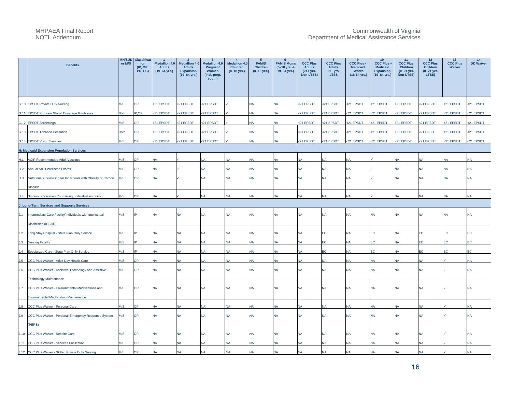|     | <b>Benefits</b>                                                    | <b>MH/SUD</b><br>or M/S | <b>Classifica</b><br>ion<br>(IP, OP,<br>PD, EC) | <b>Medallion 4.0</b><br><b>Adults</b><br>$(19 - 64$ yrs.) | $\overline{2}$<br><b>Medallion 4.0</b><br><b>Adults</b><br><b>Expansion</b><br>$(19-64$ yrs.) | $\mathbf{3}$<br><b>Medallion 4.0</b><br>Pregnant<br>Women<br>(incl. preg.<br>youth) | $\overline{4}$<br><b>Medallion 4.0</b><br>Children<br>$(0-18$ yrs.) | $5\phantom{.0}$<br><b>FAMIS</b><br><b>Children</b><br>$(0-18$ yrs.) | <b>FAMIS Moms</b><br>(0-18 yrs. &<br>19-64 yrs.) | $\overline{7}$<br><b>CCC Plus</b><br><b>Adults</b><br>$(21 + yrs.$<br>Non-LTSS) | 8<br><b>CCC Plus</b><br><b>Adults</b><br>21+ yrs.<br><b>LTSS</b> | 9<br><b>CCC Plus</b><br><b>Medicaid</b><br><b>Works</b><br>$(16-64$ yrs.) | 10 <sub>1</sub><br><b>CCC Plus -</b><br><b>Medicaid</b><br><b>Expansion</b><br>$(19 - 64$ yrs.) | 11<br><b>CCC Plus</b><br><b>Children</b><br>$(0 - 21$ yrs.<br>Non-LTSS) | 12<br><b>CCC Plus</b><br>Children<br>(0 -21 yrs.<br>LTSS) | 13<br><b>CCC Plus</b><br>Waiver | 14<br><b>DD Waiver</b> |
|-----|--------------------------------------------------------------------|-------------------------|-------------------------------------------------|-----------------------------------------------------------|-----------------------------------------------------------------------------------------------|-------------------------------------------------------------------------------------|---------------------------------------------------------------------|---------------------------------------------------------------------|--------------------------------------------------|---------------------------------------------------------------------------------|------------------------------------------------------------------|---------------------------------------------------------------------------|-------------------------------------------------------------------------------------------------|-------------------------------------------------------------------------|-----------------------------------------------------------|---------------------------------|------------------------|
|     | G.10 EPSDT Private Duty Nursing                                    | M/S                     | <b>OP</b>                                       | <21 EPSDT                                                 | <21 EPSDT                                                                                     | <21 EPSDT                                                                           |                                                                     | <b>NA</b>                                                           | <b>NA</b>                                        | <21 EPSDT                                                                       | <21 EPSDT                                                        | <21 EPSDT                                                                 | <21 EPSDT                                                                                       | <21 EPSDT                                                               | <21 EPSDT                                                 | <21 EPSDT                       | <21 EPSDT              |
|     | G.11 EPSDT Program Global Coverage Guidelines                      | Both                    | <b>P.OP</b>                                     | <21 EPSDT                                                 | :21 EPSDT                                                                                     | <21 EPSDT                                                                           |                                                                     | <b>NA</b>                                                           | <b>NA</b>                                        | <21 EPSDT                                                                       | <21 EPSDT                                                        | <21 EPSDT                                                                 | :21 EPSDT                                                                                       | <21 EPSDT                                                               | <21 EPSDT                                                 | <21 EPSDT                       | :21 EPSDT              |
|     | G.12 EPSDT Screenings                                              | M/S                     | <b>PC</b>                                       | <21 EPSDT                                                 | 21 EPSDT                                                                                      | <21 EPSDT                                                                           |                                                                     | <b>NA</b>                                                           | <b>NA</b>                                        | <21 EPSDT                                                                       | <21 EPSDT                                                        | <21 EPSDT                                                                 | <21 EPSDT                                                                                       | <21 EPSDT                                                               | <21 EPSDT                                                 | <21 EPSDT                       | <21 EPSDT              |
|     | G.13 EPSDT Tobacco Cessation                                       | <b>Both</b>             | OP                                              | <21 EPSDT                                                 | <21 EPSDT                                                                                     | <21 EPSDT                                                                           |                                                                     | <b>NA</b>                                                           | <b>NA</b>                                        | <21 EPSDT                                                                       | <21 EPSDT                                                        | <21 EPSDT                                                                 | <21 EPSDT                                                                                       | <21 EPSDT                                                               | <21 EPSDT                                                 | <21 EPSDT                       | <21 EPSDT              |
|     | G.14 EPSDT Vision Services                                         | M/S                     | OP                                              | <21 EPSDT                                                 | <21 EPSDT                                                                                     | <21 EPSDT                                                                           |                                                                     | <b>NA</b>                                                           | <b>NA</b>                                        | <21 EPSDT                                                                       | <21 EPSDT                                                        | <21 EPSDT                                                                 | <21 EPSDT                                                                                       | <21 EPSDT                                                               | <21 EPSDT                                                 | <21 EPSDT                       | <21 EPSDT              |
|     | H: Medicaid Expansion Population Services                          |                         |                                                 |                                                           |                                                                                               |                                                                                     |                                                                     |                                                                     |                                                  |                                                                                 |                                                                  |                                                                           |                                                                                                 |                                                                         |                                                           |                                 |                        |
|     | H.1 ACIP Recommended Adult Vaccines                                | M/S                     | OP                                              | <b>NA</b>                                                 |                                                                                               | <b>NA</b>                                                                           | <b>NA</b>                                                           | <b>NA</b>                                                           | <b>NA</b>                                        | <b>NA</b>                                                                       | <b>NA</b>                                                        | <b>NA</b>                                                                 |                                                                                                 | <b>NA</b>                                                               | <b>NA</b>                                                 | <b>NA</b>                       | <b>NA</b>              |
|     | H.2 Annual Adult Wellness Exams                                    | M/S                     | <b>OP</b>                                       | <b>NA</b>                                                 |                                                                                               | <b>NA</b>                                                                           | <b>NA</b>                                                           | <b>NA</b>                                                           | <b>NA</b>                                        | <b>NA</b>                                                                       | <b>NA</b>                                                        | <b>NA</b>                                                                 |                                                                                                 | <b>NA</b>                                                               | <b>NA</b>                                                 | <b>NA</b>                       | <b>NA</b>              |
|     | H.3 Nutritional Counseling for Individuals with Obesity or Chronic | M/S                     | <b>OP</b>                                       | <b>NA</b>                                                 |                                                                                               | <b>NA</b>                                                                           | <b>NA</b>                                                           | <b>NA</b>                                                           | <b>NA</b>                                        | <b>NA</b>                                                                       | <b>NA</b>                                                        | <b>NA</b>                                                                 |                                                                                                 | <b>NA</b>                                                               | <b>NA</b>                                                 | <b>NA</b>                       | <b>NA</b>              |
|     | <b>Disease</b>                                                     |                         |                                                 |                                                           |                                                                                               |                                                                                     |                                                                     |                                                                     |                                                  |                                                                                 |                                                                  |                                                                           |                                                                                                 |                                                                         |                                                           |                                 |                        |
|     | H.4 Smoking Cessation Counseling, Individual and Group             | M/S                     | OP                                              | <b>NA</b>                                                 |                                                                                               | <b>NA</b>                                                                           | <b>NA</b>                                                           | <b>NA</b>                                                           | <b>NA</b>                                        | <b>NA</b>                                                                       | NA                                                               | <b>NA</b>                                                                 |                                                                                                 | <b>NA</b>                                                               | <b>NA</b>                                                 | <b>NA</b>                       | <b>NA</b>              |
|     | J: Long-Term Services and Supports Services                        |                         |                                                 |                                                           |                                                                                               |                                                                                     |                                                                     |                                                                     |                                                  |                                                                                 |                                                                  |                                                                           |                                                                                                 |                                                                         |                                                           |                                 |                        |
|     | J.1 Intermediate Care Facility/Individuals with Intellectual       | M/S                     | IP                                              | <b>NA</b>                                                 | <b>NA</b>                                                                                     | <b>NA</b>                                                                           | <b>NA</b>                                                           | <b>NA</b>                                                           | <b>NA</b>                                        | <b>NA</b>                                                                       | <b>NA</b>                                                        | <b>NA</b>                                                                 | <b>NA</b>                                                                                       | <b>NA</b>                                                               | <b>NA</b>                                                 | <b>NA</b>                       | <b>NA</b>              |
|     | Disabilities (ICF/IID)                                             |                         |                                                 |                                                           |                                                                                               |                                                                                     |                                                                     |                                                                     |                                                  |                                                                                 |                                                                  |                                                                           |                                                                                                 |                                                                         |                                                           |                                 |                        |
|     | J.2 Long Stay Hospital - State Plan Only Service                   | M/S                     | IP                                              | <b>NA</b>                                                 | NA                                                                                            | <b>NA</b>                                                                           | <b>NA</b>                                                           | <b>NA</b>                                                           | <b>NA</b>                                        | <b>NA</b>                                                                       | EC                                                               | <b>NA</b>                                                                 | <b>EC</b>                                                                                       | NA                                                                      | <b>EC</b>                                                 | EC                              | EC                     |
|     | J.3 Nursing Facility                                               | M/S                     | IP                                              | <b>NA</b>                                                 | NA                                                                                            | <b>NA</b>                                                                           | <b>NA</b>                                                           | <b>NA</b>                                                           | <b>NA</b>                                        | <b>NA</b>                                                                       | EC                                                               | <b>NA</b>                                                                 | EC                                                                                              | NA                                                                      | <b>EC</b>                                                 | EC                              | ЕC                     |
|     | J.4 Specialized Care - State Plan Only Service                     | M/S                     | IP                                              | <b>NA</b>                                                 | <b>NA</b>                                                                                     | <b>NA</b>                                                                           | <b>NA</b>                                                           | <b>NA</b>                                                           | <b>NA</b>                                        | <b>NA</b>                                                                       | EC                                                               | <b>NA</b>                                                                 | EC                                                                                              | <b>NA</b>                                                               | EC                                                        | EC                              | ЕC                     |
|     | J.5 CCC Plus Waiver - Adult Day Health Care                        | M/S                     | OP                                              | <b>NA</b>                                                 | <b>NA</b>                                                                                     | <b>NA</b>                                                                           | <b>NA</b>                                                           | <b>NA</b>                                                           | <b>NA</b>                                        | <b>NA</b>                                                                       | <b>NA</b>                                                        | <b>NA</b>                                                                 | <b>NA</b>                                                                                       | <b>NA</b>                                                               | <b>NA</b>                                                 |                                 | <b>NA</b>              |
| J.6 | CCC Plus Waiver - Assistive Technology and Assistive               | M/S                     | OP                                              | <b>NA</b>                                                 | NA                                                                                            | <b>NA</b>                                                                           | <b>NA</b>                                                           | <b>NA</b>                                                           | <b>NA</b>                                        | <b>NA</b>                                                                       | <b>NA</b>                                                        | <b>NA</b>                                                                 | <b>NA</b>                                                                                       | <b>NA</b>                                                               | <b>NA</b>                                                 |                                 | <b>NA</b>              |
|     | <b>Technology Maintenance</b>                                      |                         |                                                 |                                                           |                                                                                               |                                                                                     |                                                                     |                                                                     |                                                  |                                                                                 |                                                                  |                                                                           |                                                                                                 |                                                                         |                                                           |                                 |                        |
| J.7 | CCC Plus Waiver - Environmental Modifications and                  | M/S                     | <b>OP</b>                                       | <b>NA</b>                                                 | NA                                                                                            | <b>NA</b>                                                                           | <b>NA</b>                                                           | <b>NA</b>                                                           | <b>NA</b>                                        | <b>NA</b>                                                                       | NA                                                               | <b>NA</b>                                                                 | <b>NA</b>                                                                                       | <b>NA</b>                                                               | <b>NA</b>                                                 |                                 | <b>NA</b>              |
|     | <b>Environmental Modification Maintenance</b>                      |                         |                                                 |                                                           |                                                                                               |                                                                                     |                                                                     |                                                                     |                                                  |                                                                                 |                                                                  |                                                                           |                                                                                                 |                                                                         |                                                           |                                 |                        |
| J.8 | CCC Plus Waiver - Personal Care                                    | M/S                     | <b>OP</b>                                       | <b>NA</b>                                                 | NA                                                                                            | <b>NA</b>                                                                           | <b>NA</b>                                                           | <b>NA</b>                                                           | <b>NA</b>                                        | <b>NA</b>                                                                       | <b>NA</b>                                                        | <b>NA</b>                                                                 | <b>NA</b>                                                                                       | <b>NA</b>                                                               | <b>NA</b>                                                 |                                 | <b>NA</b>              |
| J.9 | CCC Plus Waiver - Personal Emergency Response System               | M/S                     | <b>OP</b>                                       | <b>NA</b>                                                 | <b>NA</b>                                                                                     | <b>NA</b>                                                                           | <b>NA</b>                                                           | <b>NA</b>                                                           | <b>NA</b>                                        | <b>NA</b>                                                                       | <b>NA</b>                                                        | <b>NA</b>                                                                 | <b>NA</b>                                                                                       | <b>NA</b>                                                               | <b>NA</b>                                                 |                                 | <b>NA</b>              |
|     | (PERS)                                                             |                         |                                                 |                                                           |                                                                                               |                                                                                     |                                                                     |                                                                     |                                                  |                                                                                 |                                                                  |                                                                           |                                                                                                 |                                                                         |                                                           |                                 |                        |
|     | J.10 CCC Plus Waiver - Respite Care                                | M/S                     | OP                                              | <b>NA</b>                                                 | NA                                                                                            | <b>NA</b>                                                                           | <b>NA</b>                                                           | <b>NA</b>                                                           | <b>NA</b>                                        | <b>NA</b>                                                                       | <b>NA</b>                                                        | <b>NA</b>                                                                 | <b>NA</b>                                                                                       | <b>NA</b>                                                               | <b>NA</b>                                                 |                                 | <b>NA</b>              |
|     | J.11 CCC Plus Waiver - Services Facilitation                       | M/S                     | OP                                              | <b>NA</b>                                                 | NA                                                                                            | <b>NA</b>                                                                           | <b>NA</b>                                                           | NA                                                                  | <b>NA</b>                                        | <b>NA</b>                                                                       | NA                                                               | <b>NA</b>                                                                 | <b>NA</b>                                                                                       | <b>NA</b>                                                               | <b>NA</b>                                                 |                                 | <b>NA</b>              |
|     | J.12 CCC Plus Waiver - Skilled Private Duty Nursing                | M/S                     | <b>OP</b>                                       | <b>NA</b>                                                 | <b>NA</b>                                                                                     | <b>NA</b>                                                                           | <b>NA</b>                                                           | <b>NA</b>                                                           | <b>NA</b>                                        | <b>NA</b>                                                                       | <b>NA</b>                                                        | <b>NA</b>                                                                 | <b>NA</b>                                                                                       | <b>NA</b>                                                               | <b>NA</b>                                                 |                                 | <b>NA</b>              |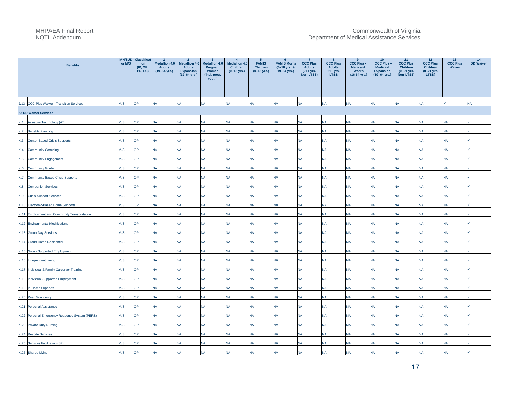|     | <b>Benefits</b>                                | or M/S | <b>MH/SUD</b> Classificat<br>ion<br>(IP, OP,<br>PD, EC) | $\overline{1}$<br><b>Medallion 4.0</b><br><b>Adults</b><br>$(19-64$ yrs.) | $\overline{2}$<br><b>Medallion 4.0</b><br><b>Adults</b><br><b>Expansion</b><br>$(19-64 \text{ yrs.})$ | $\overline{\mathbf{3}}$<br><b>Medallion 4.0</b><br>Pregnant<br>Women<br>(incl. preg.<br>youth) | $\overline{4}$<br><b>Medallion 4.0</b><br>Children<br>$(0-18$ yrs.) | $5^{\circ}$<br><b>FAMIS</b><br>Children<br>$(0-18$ yrs.) | - 6<br><b>FAMIS Moms</b><br>(0-18 yrs. &<br>19-64 yrs.) | $\overline{7}$<br><b>CCC Plus</b><br><b>Adults</b><br>$(21 + yrs.$<br>Non-LTSS) | 8<br><b>CCC Plus</b><br><b>Adults</b><br>$21 + yrs.$<br><b>LTSS</b> | 9<br><b>CCC Plus -</b><br><b>Medicaid</b><br><b>Works</b><br>$(16-64$ yrs.) | 10<br><b>CCC Plus</b><br><b>Medicaid</b><br><b>Expansion</b><br>(19-64 yrs.) | 11<br><b>CCC Plus</b><br><b>Children</b><br>$(0 - 21$ yrs.<br>Non-LTSS) | 12<br><b>CCC Plus</b><br><b>Children</b><br>$(0 - 21$ yrs.<br>LTSS) | 13<br><b>CCC Plus</b><br>Waiver | 14<br><b>DD Waiver</b> |
|-----|------------------------------------------------|--------|---------------------------------------------------------|---------------------------------------------------------------------------|-------------------------------------------------------------------------------------------------------|------------------------------------------------------------------------------------------------|---------------------------------------------------------------------|----------------------------------------------------------|---------------------------------------------------------|---------------------------------------------------------------------------------|---------------------------------------------------------------------|-----------------------------------------------------------------------------|------------------------------------------------------------------------------|-------------------------------------------------------------------------|---------------------------------------------------------------------|---------------------------------|------------------------|
|     | J.13 CCC Plus Waiver - Transition Services     | M/S    | OP                                                      | <b>NA</b>                                                                 | <b>NA</b>                                                                                             | <b>NA</b>                                                                                      | <b>NA</b>                                                           | <b>NA</b>                                                | <b>NA</b>                                               | <b>NA</b>                                                                       | <b>NA</b>                                                           | <b>NA</b>                                                                   | <b>NA</b>                                                                    | <b>NA</b>                                                               | <b>NA</b>                                                           |                                 | <b>NA</b>              |
|     | <b>K: DD Waiver Services</b>                   |        |                                                         |                                                                           |                                                                                                       |                                                                                                |                                                                     |                                                          |                                                         |                                                                                 |                                                                     |                                                                             |                                                                              |                                                                         |                                                                     |                                 |                        |
|     | K.1 Assistive Technology (AT)                  | M/S    | <b>OP</b>                                               | NA                                                                        | <b>NA</b>                                                                                             | <b>NA</b>                                                                                      | <b>NA</b>                                                           | <b>NA</b>                                                | <b>NA</b>                                               | <b>NA</b>                                                                       | <b>NA</b>                                                           | <b>NA</b>                                                                   | NA                                                                           | <b>NA</b>                                                               | <b>NA</b>                                                           | <b>NA</b>                       |                        |
|     | K.2 Benefits Planning                          | M/S    | OP                                                      | <b>NA</b>                                                                 | <b>NA</b>                                                                                             | <b>NA</b>                                                                                      | <b>NA</b>                                                           | <b>NA</b>                                                | <b>NA</b>                                               | <b>NA</b>                                                                       | <b>NA</b>                                                           | <b>NA</b>                                                                   | <b>NA</b>                                                                    | <b>NA</b>                                                               | <b>NA</b>                                                           | <b>NA</b>                       |                        |
|     | K.3 Center-Based Crisis Supports               | M/S    | OP                                                      | <b>NA</b>                                                                 | NA                                                                                                    | <b>NA</b>                                                                                      | <b>NA</b>                                                           | <b>NA</b>                                                | <b>NA</b>                                               | <b>NA</b>                                                                       | <b>NA</b>                                                           | <b>NA</b>                                                                   | <b>NA</b>                                                                    | <b>NA</b>                                                               | <b>NA</b>                                                           | <b>NA</b>                       |                        |
|     | K.4 Community Coaching                         | M/S    | ЭP                                                      | NA                                                                        | NA                                                                                                    | <b>NA</b>                                                                                      | <b>NA</b>                                                           | NA                                                       | <b>NA</b>                                               | <b>NA</b>                                                                       | <b>NA</b>                                                           | <b>NA</b>                                                                   | NA                                                                           | <b>NA</b>                                                               | <b>NA</b>                                                           | <b>NA</b>                       |                        |
|     | K.5 Community Engagement                       | M/S    | OP                                                      | <b>NA</b>                                                                 | <b>NA</b>                                                                                             | <b>NA</b>                                                                                      | <b>NA</b>                                                           | <b>NA</b>                                                | <b>NA</b>                                               | <b>NA</b>                                                                       | <b>NA</b>                                                           | <b>NA</b>                                                                   | <b>NA</b>                                                                    | <b>NA</b>                                                               | <b>NA</b>                                                           | <b>NA</b>                       |                        |
|     | K.6 Community Guide                            | M/S    | OP                                                      | <b>NA</b>                                                                 | NA                                                                                                    | <b>NA</b>                                                                                      | <b>NA</b>                                                           | <b>NA</b>                                                | <b>NA</b>                                               | <b>NA</b>                                                                       | <b>NA</b>                                                           | <b>NA</b>                                                                   | <b>NA</b>                                                                    | <b>NA</b>                                                               | <b>NA</b>                                                           | <b>NA</b>                       |                        |
|     | K.7 Community-Based Crisis Supports            | M/S    | ЭP                                                      | NA                                                                        | NA                                                                                                    | <b>NA</b>                                                                                      | <b>NA</b>                                                           | <b>NA</b>                                                | NA                                                      | <b>NA</b>                                                                       | <b>NA</b>                                                           | <b>NA</b>                                                                   | <b>NA</b>                                                                    | NA                                                                      | NA                                                                  | <b>NA</b>                       |                        |
| K.8 | <b>Companion Services</b>                      | M/S    | OP                                                      | <b>NA</b>                                                                 | NA                                                                                                    | <b>NA</b>                                                                                      | <b>NA</b>                                                           | <b>NA</b>                                                | <b>NA</b>                                               | <b>NA</b>                                                                       | <b>NA</b>                                                           | <b>NA</b>                                                                   | <b>NA</b>                                                                    | <b>NA</b>                                                               | <b>NA</b>                                                           | <b>NA</b>                       |                        |
|     | K.9 Crisis Support Services                    | M/S    | OP                                                      | NA                                                                        | <b>NA</b>                                                                                             | <b>NA</b>                                                                                      | NA                                                                  | <b>NA</b>                                                | <b>NA</b>                                               | <b>NA</b>                                                                       | <b>NA</b>                                                           | <b>NA</b>                                                                   | NA                                                                           | <b>NA</b>                                                               | <b>NA</b>                                                           | <b>NA</b>                       |                        |
|     | K.10 Electronic-Based Home Supports            | M/S    | <b>PC</b>                                               | NA                                                                        | NA                                                                                                    | <b>NA</b>                                                                                      | <b>NA</b>                                                           | NA                                                       | <b>NA</b>                                               | <b>NA</b>                                                                       | <b>NA</b>                                                           | <b>NA</b>                                                                   | <b>NA</b>                                                                    | <b>NA</b>                                                               | <b>NA</b>                                                           | <b>NA</b>                       |                        |
|     | K.11 Employment and Community Transportation   | M/S    | OP                                                      | <b>NA</b>                                                                 | <b>NA</b>                                                                                             | <b>NA</b>                                                                                      | <b>NA</b>                                                           | <b>NA</b>                                                | <b>NA</b>                                               | <b>NA</b>                                                                       | <b>NA</b>                                                           | <b>NA</b>                                                                   | <b>NA</b>                                                                    | <b>NA</b>                                                               | <b>NA</b>                                                           | <b>NA</b>                       |                        |
|     | K.12 Environmental Modifications               | M/S    | <b>AC</b>                                               | NA                                                                        | NA                                                                                                    | <b>NA</b>                                                                                      | <b>NA</b>                                                           | NA                                                       | <b>NA</b>                                               | <b>NA</b>                                                                       | <b>NA</b>                                                           | <b>NA</b>                                                                   | <b>NA</b>                                                                    | <b>NA</b>                                                               | <b>NA</b>                                                           | <b>NA</b>                       |                        |
|     | K.13 Group Day Services                        | M/S    | ЭP                                                      | <b>NA</b>                                                                 | NA                                                                                                    | <b>NA</b>                                                                                      | <b>NA</b>                                                           | NA                                                       | <b>NA</b>                                               | <b>NA</b>                                                                       | <b>NA</b>                                                           | <b>NA</b>                                                                   | <b>NA</b>                                                                    | <b>NA</b>                                                               | <b>NA</b>                                                           | <b>NA</b>                       |                        |
|     | K.14 Group Home Residential                    | M/S    | <b>OP</b>                                               | <b>NA</b>                                                                 | <b>NA</b>                                                                                             | <b>NA</b>                                                                                      | <b>NA</b>                                                           | <b>NA</b>                                                | <b>NA</b>                                               | <b>NA</b>                                                                       | <b>NA</b>                                                           | <b>NA</b>                                                                   | <b>NA</b>                                                                    | <b>NA</b>                                                               | <b>NA</b>                                                           | <b>NA</b>                       |                        |
|     | K.15 Group Supported Employment                | M/S    | OP.                                                     | NA                                                                        | <b>NA</b>                                                                                             | <b>NA</b>                                                                                      | <b>NA</b>                                                           | <b>NA</b>                                                | <b>NA</b>                                               | <b>NA</b>                                                                       | <b>NA</b>                                                           | <b>NA</b>                                                                   | <b>NA</b>                                                                    | <b>NA</b>                                                               | <b>NA</b>                                                           | <b>NA</b>                       |                        |
|     | K.16 Independent Living                        | M/S    | OP                                                      | <b>NA</b>                                                                 | <b>NA</b>                                                                                             | <b>NA</b>                                                                                      | <b>NA</b>                                                           | <b>NA</b>                                                | <b>NA</b>                                               | <b>NA</b>                                                                       | <b>NA</b>                                                           | <b>NA</b>                                                                   | <b>NA</b>                                                                    | <b>NA</b>                                                               | <b>NA</b>                                                           | <b>NA</b>                       |                        |
|     | K.17 Individual & Family Caregiver Training    | M/S    | OP                                                      | NA                                                                        | NA                                                                                                    | <b>NA</b>                                                                                      | <b>NA</b>                                                           | <b>NA</b>                                                | <b>NA</b>                                               | <b>NA</b>                                                                       | <b>NA</b>                                                           | <b>NA</b>                                                                   | <b>NA</b>                                                                    | <b>NA</b>                                                               | <b>NA</b>                                                           | <b>NA</b>                       |                        |
|     | K.18 Individual Supported Employment           | M/S    | <b>OP</b>                                               | <b>NA</b>                                                                 | NA                                                                                                    | <b>NA</b>                                                                                      | <b>NA</b>                                                           | <b>NA</b>                                                | <b>NA</b>                                               | <b>NA</b>                                                                       | <b>NA</b>                                                           | <b>NA</b>                                                                   | <b>NA</b>                                                                    | <b>NA</b>                                                               | NA                                                                  | <b>NA</b>                       |                        |
|     | K.19 In-Home Supports                          | M/S    | OP                                                      | <b>NA</b>                                                                 | NA                                                                                                    | <b>NA</b>                                                                                      | <b>NA</b>                                                           | <b>NA</b>                                                | <b>NA</b>                                               | <b>NA</b>                                                                       | <b>NA</b>                                                           | <b>NA</b>                                                                   | <b>NA</b>                                                                    | <b>NA</b>                                                               | <b>NA</b>                                                           | <b>NA</b>                       |                        |
|     | K.20 Peer Monitoring                           | M/S    | OP                                                      | NA                                                                        | NA                                                                                                    | <b>NA</b>                                                                                      | <b>NA</b>                                                           | <b>NA</b>                                                | NA                                                      | NA                                                                              | <b>NA</b>                                                           | <b>NA</b>                                                                   | <b>NA</b>                                                                    | <b>NA</b>                                                               | NA                                                                  | <b>NA</b>                       |                        |
|     | K.21 Personal Assistance                       | M/S    | ОP                                                      | <b>NA</b>                                                                 | NA                                                                                                    | <b>NA</b>                                                                                      | <b>NA</b>                                                           | NA                                                       | <b>NA</b>                                               | NA                                                                              | <b>NA</b>                                                           | <b>NA</b>                                                                   | <b>NA</b>                                                                    | <b>NA</b>                                                               | <b>NA</b>                                                           | <b>NA</b>                       |                        |
|     | K.22 Personal Emergency Response System (PERS) | M/S    | OP                                                      | <b>NA</b>                                                                 | <b>NA</b>                                                                                             | <b>NA</b>                                                                                      | <b>NA</b>                                                           | <b>NA</b>                                                | <b>NA</b>                                               | <b>NA</b>                                                                       | <b>NA</b>                                                           | <b>NA</b>                                                                   | <b>NA</b>                                                                    | <b>NA</b>                                                               | <b>NA</b>                                                           | <b>NA</b>                       |                        |
|     | K.23 Private Duty Nursing                      | M/S    | ЭP                                                      | NA                                                                        | <b>NA</b>                                                                                             | <b>NA</b>                                                                                      | <b>NA</b>                                                           | <b>NA</b>                                                | <b>NA</b>                                               | <b>NA</b>                                                                       | <b>NA</b>                                                           | <b>NA</b>                                                                   | <b>NA</b>                                                                    | <b>NA</b>                                                               | <b>NA</b>                                                           | <b>NA</b>                       |                        |
|     | K.24 Respite Services                          | M/S    | OP                                                      | <b>NA</b>                                                                 | <b>NA</b>                                                                                             | <b>NA</b>                                                                                      | <b>NA</b>                                                           | NA                                                       | <b>NA</b>                                               | <b>NA</b>                                                                       | <b>NA</b>                                                           | <b>NA</b>                                                                   | <b>NA</b>                                                                    | <b>NA</b>                                                               | <b>NA</b>                                                           | <b>NA</b>                       |                        |
|     | K.25 Services Facilitation (SF)                | M/S    | ЭP                                                      | <b>NA</b>                                                                 | NA                                                                                                    | <b>NA</b>                                                                                      | <b>NA</b>                                                           | NA                                                       | <b>NA</b>                                               | <b>NA</b>                                                                       | <b>NA</b>                                                           | <b>NA</b>                                                                   | <b>NA</b>                                                                    | <b>NA</b>                                                               | <b>NA</b>                                                           | <b>NA</b>                       |                        |
|     | K.26 Shared Living                             | M/S    | <b>OP</b>                                               | <b>NA</b>                                                                 | <b>NA</b>                                                                                             | <b>NA</b>                                                                                      | <b>NA</b>                                                           | <b>NA</b>                                                | <b>NA</b>                                               | <b>NA</b>                                                                       | <b>NA</b>                                                           | <b>NA</b>                                                                   | <b>NA</b>                                                                    | <b>NA</b>                                                               | <b>NA</b>                                                           | <b>NA</b>                       |                        |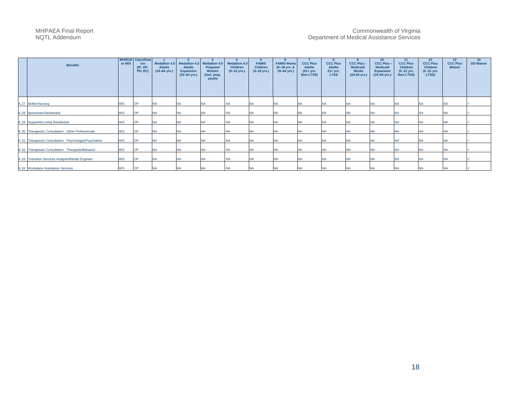| <b>Benefits</b>                                           | <b>MH/SUD</b><br>or M/S | <b>Classificat</b><br>ion<br>(IP, OP,<br>PD, EC) | <b>Adults</b><br>$(19-64$ yrs.) | Medallion 4.0 Medallion 4.0<br><b>Adults</b><br><b>Expansion</b><br>$(19-64$ yrs.) | Medallion 4.0<br>Pregnant<br>Women<br>(incl. preg.<br>youth) | <b>Medallion 4.0</b><br><b>Children</b><br>$(0-18$ yrs.) | <b>FAMIS</b><br><b>Children</b><br>$(0-18$ yrs.) | <b>FAMIS Moms</b><br>$(0-18$ yrs. &<br>$19-64$ yrs.) | <b>CCC Plus</b><br><b>Adults</b><br>$(21 + yrs.$<br>Non-LTSS) | <b>CCC Plus</b><br><b>Adults</b><br>$21 + yrs.$<br><b>LTSS</b> | <b>CCC Plus -</b><br><b>Medicaid</b><br><b>Works</b><br>$(16-64$ yrs.) | 10 <sub>1</sub><br><b>CCC Plus -</b><br><b>Medicaid</b><br><b>Expansion</b><br>$(19-64 \text{ yrs.})$ | 11<br><b>CCC Plus</b><br>Children<br>$(0 - 21$ yrs.<br>Non-LTSS) | 12<br><b>CCC Plus</b><br><b>Children</b><br>$(0 - 21$ yrs.<br>LTSS) | 13<br><b>CCC Plus</b><br>Waiver | 14<br><b>DD Waiver</b> |
|-----------------------------------------------------------|-------------------------|--------------------------------------------------|---------------------------------|------------------------------------------------------------------------------------|--------------------------------------------------------------|----------------------------------------------------------|--------------------------------------------------|------------------------------------------------------|---------------------------------------------------------------|----------------------------------------------------------------|------------------------------------------------------------------------|-------------------------------------------------------------------------------------------------------|------------------------------------------------------------------|---------------------------------------------------------------------|---------------------------------|------------------------|
| K.27 Skilled Nursing                                      | M/S                     | OP                                               | <b>NA</b>                       | NA                                                                                 | <b>NA</b>                                                    | <b>NA</b>                                                |                                                  | <b>NA</b>                                            |                                                               | NA                                                             | <b>NA</b>                                                              | <b>NA</b>                                                                                             | <b>NA</b>                                                        | <b>NA</b>                                                           | NA                              |                        |
| K.28 Sponsored Residential                                | M/S                     | <b>OP</b>                                        | <b>NA</b>                       | NA                                                                                 | <b>NA</b>                                                    | <b>NA</b>                                                | <b>NA</b>                                        | <b>NA</b>                                            |                                                               | <b>NA</b>                                                      | <b>NA</b>                                                              | <b>NA</b>                                                                                             | <b>NA</b>                                                        | <b>NA</b>                                                           | <b>NA</b>                       |                        |
| K.29 Supported Living Residential                         | M/S                     | <b>OP</b>                                        | <b>NA</b>                       | NA                                                                                 | <b>NA</b>                                                    | <b>NA</b>                                                | <b>NA</b>                                        | <b>NA</b>                                            | <b>NA</b>                                                     | <b>NA</b>                                                      | <b>NA</b>                                                              | <b>NA</b>                                                                                             | <b>NA</b>                                                        | <b>NA</b>                                                           | <b>NA</b>                       |                        |
| K.30 Therapeutic Consultation - Other Professionals       | M/S                     | <b>OP</b>                                        | <b>NA</b>                       | <b>NA</b>                                                                          | <b>NA</b>                                                    | <b>NA</b>                                                | <b>NA</b>                                        | <b>NA</b>                                            | <b>NA</b>                                                     | <b>NA</b>                                                      | <b>NA</b>                                                              | <b>NA</b>                                                                                             | <b>NA</b>                                                        | <b>NA</b>                                                           | <b>NA</b>                       |                        |
| K.31 Therapeutic Consultation - Psychologist/Psychiatrist | M/S                     | <b>OP</b>                                        | <b>NA</b>                       | <b>NA</b>                                                                          | <b>NA</b>                                                    | <b>NA</b>                                                | <b>NA</b>                                        | <b>NA</b>                                            | <b>NA</b>                                                     | <b>NA</b>                                                      | <b>NA</b>                                                              | <b>NA</b>                                                                                             | <b>NA</b>                                                        | <b>NA</b>                                                           | <b>NA</b>                       |                        |
|                                                           |                         |                                                  |                                 |                                                                                    |                                                              |                                                          |                                                  |                                                      |                                                               |                                                                |                                                                        |                                                                                                       |                                                                  |                                                                     |                                 |                        |
| K.32 Therapeutic Consultation - Therapists/Behavior       | M/S                     | <b>OP</b>                                        | <b>NA</b>                       | <b>NA</b>                                                                          | <b>NA</b>                                                    | <b>NA</b>                                                | <b>NA</b>                                        | <b>NA</b>                                            | <b>NA</b>                                                     | <b>NA</b>                                                      | <b>NA</b>                                                              | <b>NA</b>                                                                                             | <b>NA</b>                                                        | <b>NA</b>                                                           | <b>NA</b>                       |                        |
| K.33 Transition Services Analysts/Rehab Engineer          | M/S                     | <b>OP</b>                                        | <b>NA</b>                       | NA                                                                                 | <b>NA</b>                                                    | <b>NA</b>                                                | <b>NA</b>                                        | <b>NA</b>                                            | <b>NA</b>                                                     | <b>NA</b>                                                      | <b>NA</b>                                                              | <b>NA</b>                                                                                             | <b>NA</b>                                                        | <b>NA</b>                                                           | <b>NA</b>                       |                        |
| K.34 Workplace Assistance Services                        | M/S                     | <b>OP</b>                                        | <b>NA</b>                       | NA                                                                                 | <b>NA</b>                                                    | <b>NA</b>                                                |                                                  |                                                      |                                                               | <b>NA</b>                                                      | <b>NA</b>                                                              | <b>NA</b>                                                                                             | <b>NA</b>                                                        | <b>NA</b>                                                           | <b>NA</b>                       |                        |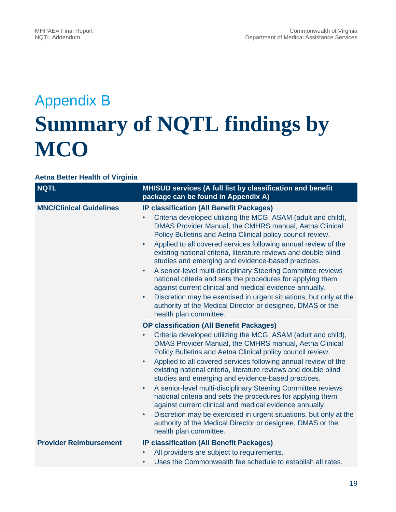# Appendix B **Summary of NQTL findings by MCO**

#### **Aetna Better Health of Virginia**

| <b>NQTL</b>                    | MH/SUD services (A full list by classification and benefit<br>package can be found in Appendix A)                                                                                                                                                                                                                                                                                                                                                                                                                                                                                                                                                                                                                                                                                                                                              |
|--------------------------------|------------------------------------------------------------------------------------------------------------------------------------------------------------------------------------------------------------------------------------------------------------------------------------------------------------------------------------------------------------------------------------------------------------------------------------------------------------------------------------------------------------------------------------------------------------------------------------------------------------------------------------------------------------------------------------------------------------------------------------------------------------------------------------------------------------------------------------------------|
| <b>MNC/Clinical Guidelines</b> | <b>IP classification (All Benefit Packages)</b><br>Criteria developed utilizing the MCG, ASAM (adult and child),<br>DMAS Provider Manual, the CMHRS manual, Aetna Clinical<br>Policy Bulletins and Aetna Clinical policy council review.<br>Applied to all covered services following annual review of the<br>$\bullet$<br>existing national criteria, literature reviews and double blind<br>studies and emerging and evidence-based practices.<br>A senior-level multi-disciplinary Steering Committee reviews<br>$\bullet$<br>national criteria and sets the procedures for applying them<br>against current clinical and medical evidence annually.<br>Discretion may be exercised in urgent situations, but only at the<br>$\bullet$<br>authority of the Medical Director or designee, DMAS or the<br>health plan committee.              |
|                                | <b>OP classification (All Benefit Packages)</b><br>Criteria developed utilizing the MCG, ASAM (adult and child),<br>$\bullet$<br>DMAS Provider Manual, the CMHRS manual, Aetna Clinical<br>Policy Bulletins and Aetna Clinical policy council review.<br>Applied to all covered services following annual review of the<br>$\bullet$<br>existing national criteria, literature reviews and double blind<br>studies and emerging and evidence-based practices.<br>A senior-level multi-disciplinary Steering Committee reviews<br>$\bullet$<br>national criteria and sets the procedures for applying them<br>against current clinical and medical evidence annually.<br>Discretion may be exercised in urgent situations, but only at the<br>$\bullet$<br>authority of the Medical Director or designee, DMAS or the<br>health plan committee. |
| <b>Provider Reimbursement</b>  | <b>IP classification (All Benefit Packages)</b><br>All providers are subject to requirements.<br>Uses the Commonwealth fee schedule to establish all rates.<br>$\bullet$                                                                                                                                                                                                                                                                                                                                                                                                                                                                                                                                                                                                                                                                       |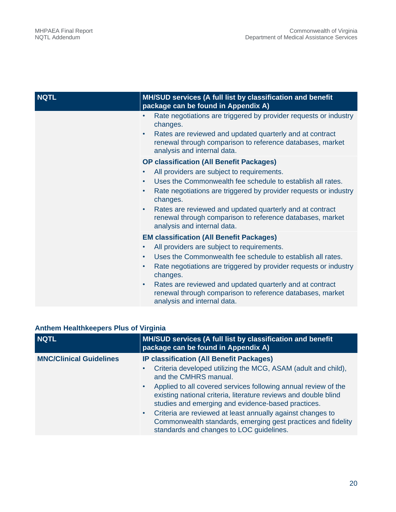| <b>NQTL</b> | MH/SUD services (A full list by classification and benefit<br>package can be found in Appendix A)                                                                                                                                                              |
|-------------|----------------------------------------------------------------------------------------------------------------------------------------------------------------------------------------------------------------------------------------------------------------|
|             | Rate negotiations are triggered by provider requests or industry<br>$\bullet$<br>changes.<br>Rates are reviewed and updated quarterly and at contract<br>$\bullet$<br>renewal through comparison to reference databases, market<br>analysis and internal data. |
|             | <b>OP classification (All Benefit Packages)</b>                                                                                                                                                                                                                |
|             | All providers are subject to requirements.<br>$\bullet$                                                                                                                                                                                                        |
|             | Uses the Commonwealth fee schedule to establish all rates.<br>$\bullet$                                                                                                                                                                                        |
|             | Rate negotiations are triggered by provider requests or industry<br>$\bullet$<br>changes.                                                                                                                                                                      |
|             | Rates are reviewed and updated quarterly and at contract<br>$\bullet$<br>renewal through comparison to reference databases, market<br>analysis and internal data.                                                                                              |
|             | <b>EM classification (All Benefit Packages)</b>                                                                                                                                                                                                                |
|             | All providers are subject to requirements.<br>$\bullet$                                                                                                                                                                                                        |
|             | Uses the Commonwealth fee schedule to establish all rates.<br>$\bullet$                                                                                                                                                                                        |
|             | Rate negotiations are triggered by provider requests or industry<br>$\bullet$<br>changes.                                                                                                                                                                      |
|             | Rates are reviewed and updated quarterly and at contract<br>$\bullet$<br>renewal through comparison to reference databases, market<br>analysis and internal data.                                                                                              |

### **Anthem Healthkeepers Plus of Virginia**

| <b>NQTL</b>                    | MH/SUD services (A full list by classification and benefit<br>package can be found in Appendix A)                                                                                                                                                                                                                                                                                |
|--------------------------------|----------------------------------------------------------------------------------------------------------------------------------------------------------------------------------------------------------------------------------------------------------------------------------------------------------------------------------------------------------------------------------|
| <b>MNC/Clinical Guidelines</b> | <b>IP classification (All Benefit Packages)</b>                                                                                                                                                                                                                                                                                                                                  |
|                                | Criteria developed utilizing the MCG, ASAM (adult and child),<br>and the CMHRS manual.                                                                                                                                                                                                                                                                                           |
|                                | • Applied to all covered services following annual review of the<br>existing national criteria, literature reviews and double blind<br>studies and emerging and evidence-based practices.<br>Criteria are reviewed at least annually against changes to<br>$\bullet$<br>Commonwealth standards, emerging gest practices and fidelity<br>standards and changes to LOC guidelines. |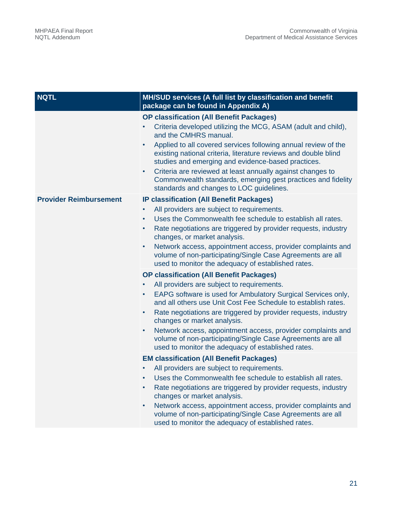| <b>NQTL</b>                   | MH/SUD services (A full list by classification and benefit<br>package can be found in Appendix A)                                                                                                                                                                                                                                                                                                                                                                                                                                                                      |  |  |  |
|-------------------------------|------------------------------------------------------------------------------------------------------------------------------------------------------------------------------------------------------------------------------------------------------------------------------------------------------------------------------------------------------------------------------------------------------------------------------------------------------------------------------------------------------------------------------------------------------------------------|--|--|--|
|                               | <b>OP classification (All Benefit Packages)</b><br>Criteria developed utilizing the MCG, ASAM (adult and child),<br>and the CMHRS manual.<br>Applied to all covered services following annual review of the<br>$\bullet$<br>existing national criteria, literature reviews and double blind<br>studies and emerging and evidence-based practices.<br>Criteria are reviewed at least annually against changes to<br>$\bullet$<br>Commonwealth standards, emerging gest practices and fidelity<br>standards and changes to LOC guidelines.                               |  |  |  |
| <b>Provider Reimbursement</b> | <b>IP classification (All Benefit Packages)</b><br>All providers are subject to requirements.<br>$\bullet$<br>Uses the Commonwealth fee schedule to establish all rates.<br>$\bullet$<br>Rate negotiations are triggered by provider requests, industry<br>$\bullet$<br>changes, or market analysis.<br>Network access, appointment access, provider complaints and<br>$\bullet$<br>volume of non-participating/Single Case Agreements are all<br>used to monitor the adequacy of established rates.                                                                   |  |  |  |
|                               | <b>OP classification (All Benefit Packages)</b><br>All providers are subject to requirements.<br>$\bullet$<br>EAPG software is used for Ambulatory Surgical Services only,<br>$\bullet$<br>and all others use Unit Cost Fee Schedule to establish rates.<br>Rate negotiations are triggered by provider requests, industry<br>$\bullet$<br>changes or market analysis.<br>Network access, appointment access, provider complaints and<br>$\bullet$<br>volume of non-participating/Single Case Agreements are all<br>used to monitor the adequacy of established rates. |  |  |  |
|                               | <b>EM classification (All Benefit Packages)</b><br>All providers are subject to requirements.<br>$\bullet$<br>Uses the Commonwealth fee schedule to establish all rates.<br>$\bullet$<br>Rate negotiations are triggered by provider requests, industry<br>$\bullet$<br>changes or market analysis.<br>Network access, appointment access, provider complaints and<br>$\bullet$<br>volume of non-participating/Single Case Agreements are all<br>used to monitor the adequacy of established rates.                                                                    |  |  |  |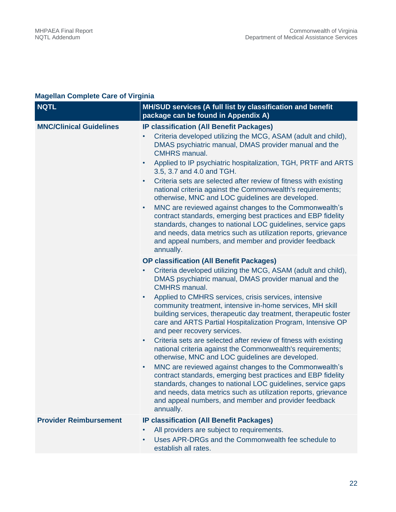### **Magellan Complete Care of Virginia**

| <b>NQTL</b>                    | MH/SUD services (A full list by classification and benefit<br>package can be found in Appendix A)                                                                                                                                                                                                                                                                                                                                                                                                                                                                                                                                                                                                                                                                                                                                                                                                                                                                                                                                                                   |
|--------------------------------|---------------------------------------------------------------------------------------------------------------------------------------------------------------------------------------------------------------------------------------------------------------------------------------------------------------------------------------------------------------------------------------------------------------------------------------------------------------------------------------------------------------------------------------------------------------------------------------------------------------------------------------------------------------------------------------------------------------------------------------------------------------------------------------------------------------------------------------------------------------------------------------------------------------------------------------------------------------------------------------------------------------------------------------------------------------------|
| <b>MNC/Clinical Guidelines</b> | <b>IP classification (All Benefit Packages)</b><br>Criteria developed utilizing the MCG, ASAM (adult and child),<br>DMAS psychiatric manual, DMAS provider manual and the<br><b>CMHRS</b> manual.<br>Applied to IP psychiatric hospitalization, TGH, PRTF and ARTS<br>$\bullet$<br>3.5, 3.7 and 4.0 and TGH.<br>Criteria sets are selected after review of fitness with existing<br>$\bullet$<br>national criteria against the Commonwealth's requirements;<br>otherwise, MNC and LOC guidelines are developed.<br>MNC are reviewed against changes to the Commonwealth's<br>$\bullet$<br>contract standards, emerging best practices and EBP fidelity<br>standards, changes to national LOC guidelines, service gaps<br>and needs, data metrics such as utilization reports, grievance<br>and appeal numbers, and member and provider feedback<br>annually.                                                                                                                                                                                                        |
|                                | <b>OP classification (All Benefit Packages)</b><br>Criteria developed utilizing the MCG, ASAM (adult and child),<br>$\bullet$<br>DMAS psychiatric manual, DMAS provider manual and the<br><b>CMHRS</b> manual.<br>Applied to CMHRS services, crisis services, intensive<br>$\bullet$<br>community treatment, intensive in-home services, MH skill<br>building services, therapeutic day treatment, therapeutic foster<br>care and ARTS Partial Hospitalization Program, Intensive OP<br>and peer recovery services.<br>Criteria sets are selected after review of fitness with existing<br>$\bullet$<br>national criteria against the Commonwealth's requirements;<br>otherwise, MNC and LOC guidelines are developed.<br>MNC are reviewed against changes to the Commonwealth's<br>$\bullet$<br>contract standards, emerging best practices and EBP fidelity<br>standards, changes to national LOC guidelines, service gaps<br>and needs, data metrics such as utilization reports, grievance<br>and appeal numbers, and member and provider feedback<br>annually. |
| <b>Provider Reimbursement</b>  | <b>IP classification (All Benefit Packages)</b><br>All providers are subject to requirements.<br>$\bullet$<br>Uses APR-DRGs and the Commonwealth fee schedule to<br>$\bullet$<br>establish all rates.                                                                                                                                                                                                                                                                                                                                                                                                                                                                                                                                                                                                                                                                                                                                                                                                                                                               |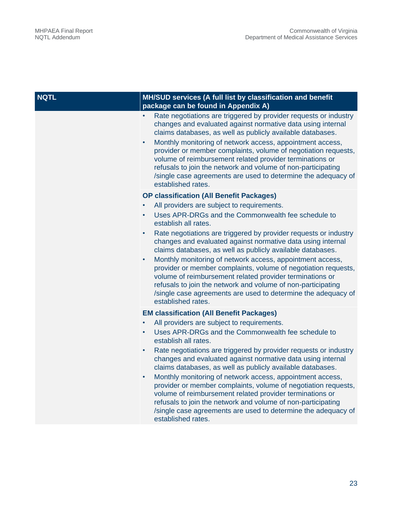| <b>NQTL</b> | MH/SUD services (A full list by classification and benefit<br>package can be found in Appendix A)                                                                                                                                                                                                                                                                                                                                                                                                                                                                                                                                                                                                                                                        |
|-------------|----------------------------------------------------------------------------------------------------------------------------------------------------------------------------------------------------------------------------------------------------------------------------------------------------------------------------------------------------------------------------------------------------------------------------------------------------------------------------------------------------------------------------------------------------------------------------------------------------------------------------------------------------------------------------------------------------------------------------------------------------------|
|             | Rate negotiations are triggered by provider requests or industry<br>changes and evaluated against normative data using internal<br>claims databases, as well as publicly available databases.<br>Monthly monitoring of network access, appointment access,<br>$\bullet$<br>provider or member complaints, volume of negotiation requests,<br>volume of reimbursement related provider terminations or<br>refusals to join the network and volume of non-participating<br>/single case agreements are used to determine the adequacy of<br>established rates.                                                                                                                                                                                             |
|             | <b>OP classification (All Benefit Packages)</b><br>All providers are subject to requirements.<br>Uses APR-DRGs and the Commonwealth fee schedule to<br>establish all rates.<br>Rate negotiations are triggered by provider requests or industry<br>changes and evaluated against normative data using internal<br>claims databases, as well as publicly available databases.<br>Monthly monitoring of network access, appointment access,<br>$\bullet$<br>provider or member complaints, volume of negotiation requests,<br>volume of reimbursement related provider terminations or<br>refusals to join the network and volume of non-participating<br>/single case agreements are used to determine the adequacy of<br>established rates.              |
|             | <b>EM classification (All Benefit Packages)</b><br>All providers are subject to requirements.<br>Uses APR-DRGs and the Commonwealth fee schedule to<br>$\bullet$<br>establish all rates.<br>Rate negotiations are triggered by provider requests or industry<br>changes and evaluated against normative data using internal<br>claims databases, as well as publicly available databases.<br>Monthly monitoring of network access, appointment access,<br>$\bullet$<br>provider or member complaints, volume of negotiation requests,<br>volume of reimbursement related provider terminations or<br>refusals to join the network and volume of non-participating<br>/single case agreements are used to determine the adequacy of<br>established rates. |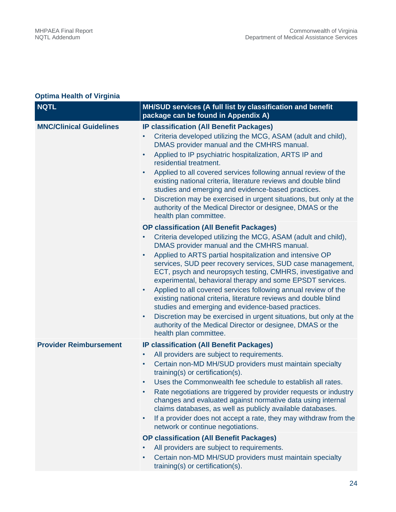### **Optima Health of Virginia**

| <b>NQTL</b>                    | MH/SUD services (A full list by classification and benefit<br>package can be found in Appendix A)                                                                                                                                                                                                                                                                                                                                                                                                                                                                                                                                                                                                                                                                                                                                |
|--------------------------------|----------------------------------------------------------------------------------------------------------------------------------------------------------------------------------------------------------------------------------------------------------------------------------------------------------------------------------------------------------------------------------------------------------------------------------------------------------------------------------------------------------------------------------------------------------------------------------------------------------------------------------------------------------------------------------------------------------------------------------------------------------------------------------------------------------------------------------|
| <b>MNC/Clinical Guidelines</b> | <b>IP classification (All Benefit Packages)</b><br>Criteria developed utilizing the MCG, ASAM (adult and child),<br>DMAS provider manual and the CMHRS manual.<br>Applied to IP psychiatric hospitalization, ARTS IP and<br>$\bullet$<br>residential treatment.<br>Applied to all covered services following annual review of the<br>$\bullet$<br>existing national criteria, literature reviews and double blind<br>studies and emerging and evidence-based practices.<br>Discretion may be exercised in urgent situations, but only at the<br>$\bullet$<br>authority of the Medical Director or designee, DMAS or the<br>health plan committee.                                                                                                                                                                                |
|                                | <b>OP classification (All Benefit Packages)</b><br>Criteria developed utilizing the MCG, ASAM (adult and child),<br>$\bullet$<br>DMAS provider manual and the CMHRS manual.<br>Applied to ARTS partial hospitalization and intensive OP<br>$\bullet$<br>services, SUD peer recovery services, SUD case management,<br>ECT, psych and neuropsych testing, CMHRS, investigative and<br>experimental, behavioral therapy and some EPSDT services.<br>Applied to all covered services following annual review of the<br>$\bullet$<br>existing national criteria, literature reviews and double blind<br>studies and emerging and evidence-based practices.<br>Discretion may be exercised in urgent situations, but only at the<br>$\bullet$<br>authority of the Medical Director or designee, DMAS or the<br>health plan committee. |
| <b>Provider Reimbursement</b>  | <b>IP classification (All Benefit Packages)</b><br>All providers are subject to requirements.<br>٠<br>Certain non-MD MH/SUD providers must maintain specialty<br>$\bullet$<br>training(s) or certification(s).<br>Uses the Commonwealth fee schedule to establish all rates.<br>$\bullet$<br>Rate negotiations are triggered by provider requests or industry<br>changes and evaluated against normative data using internal<br>claims databases, as well as publicly available databases.<br>If a provider does not accept a rate, they may withdraw from the<br>$\bullet$<br>network or continue negotiations.<br><b>OP classification (All Benefit Packages)</b>                                                                                                                                                              |
|                                | All providers are subject to requirements.<br>Certain non-MD MH/SUD providers must maintain specialty<br>$\bullet$<br>training(s) or certification(s).                                                                                                                                                                                                                                                                                                                                                                                                                                                                                                                                                                                                                                                                           |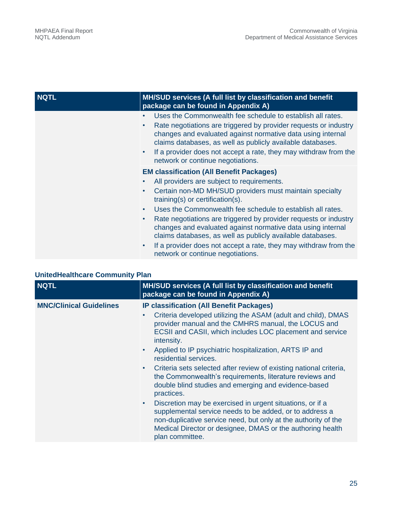| <b>NQTL</b> | MH/SUD services (A full list by classification and benefit<br>package can be found in Appendix A)                                                                                                                                                                                                                                |
|-------------|----------------------------------------------------------------------------------------------------------------------------------------------------------------------------------------------------------------------------------------------------------------------------------------------------------------------------------|
|             | Uses the Commonwealth fee schedule to establish all rates.<br>$\bullet$                                                                                                                                                                                                                                                          |
|             | Rate negotiations are triggered by provider requests or industry<br>$\bullet$<br>changes and evaluated against normative data using internal<br>claims databases, as well as publicly available databases.<br>If a provider does not accept a rate, they may withdraw from the<br>$\bullet$<br>network or continue negotiations. |
|             | <b>EM classification (All Benefit Packages)</b>                                                                                                                                                                                                                                                                                  |
|             | All providers are subject to requirements.                                                                                                                                                                                                                                                                                       |
|             | Certain non-MD MH/SUD providers must maintain specialty<br>$\bullet$<br>training(s) or certification(s).                                                                                                                                                                                                                         |
|             | Uses the Commonwealth fee schedule to establish all rates.<br>$\bullet$                                                                                                                                                                                                                                                          |
|             | Rate negotiations are triggered by provider requests or industry<br>$\bullet$<br>changes and evaluated against normative data using internal<br>claims databases, as well as publicly available databases.                                                                                                                       |
|             | If a provider does not accept a rate, they may withdraw from the<br>$\bullet$<br>network or continue negotiations.                                                                                                                                                                                                               |

|  | <b>UnitedHealthcare Community Plan</b> |  |  |
|--|----------------------------------------|--|--|
|--|----------------------------------------|--|--|

| <b>NQTL</b>                    | MH/SUD services (A full list by classification and benefit<br>package can be found in Appendix A)                                                                                                                                                                                                                                                                                                                                                                                                                                                                                                                                                                                                                                                                                                                                                                           |
|--------------------------------|-----------------------------------------------------------------------------------------------------------------------------------------------------------------------------------------------------------------------------------------------------------------------------------------------------------------------------------------------------------------------------------------------------------------------------------------------------------------------------------------------------------------------------------------------------------------------------------------------------------------------------------------------------------------------------------------------------------------------------------------------------------------------------------------------------------------------------------------------------------------------------|
| <b>MNC/Clinical Guidelines</b> | <b>IP classification (All Benefit Packages)</b><br>Criteria developed utilizing the ASAM (adult and child), DMAS<br>$\bullet$<br>provider manual and the CMHRS manual, the LOCUS and<br>ECSII and CASII, which includes LOC placement and service<br>intensity.<br>Applied to IP psychiatric hospitalization, ARTS IP and<br>$\bullet$<br>residential services.<br>Criteria sets selected after review of existing national criteria,<br>$\bullet$<br>the Commonwealth's requirements, literature reviews and<br>double blind studies and emerging and evidence-based<br>practices.<br>Discretion may be exercised in urgent situations, or if a<br>$\bullet$<br>supplemental service needs to be added, or to address a<br>non-duplicative service need, but only at the authority of the<br>Medical Director or designee, DMAS or the authoring health<br>plan committee. |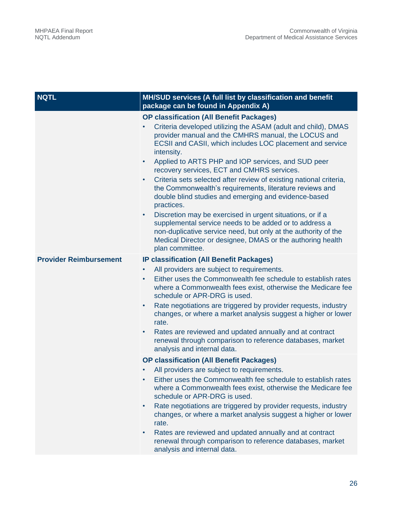| <b>NQTL</b>                   | MH/SUD services (A full list by classification and benefit<br>package can be found in Appendix A)                                                                                                                                                                                                                                                                                                                                                                                                                                                                                                                                                                                                                                                                                                                                                                              |
|-------------------------------|--------------------------------------------------------------------------------------------------------------------------------------------------------------------------------------------------------------------------------------------------------------------------------------------------------------------------------------------------------------------------------------------------------------------------------------------------------------------------------------------------------------------------------------------------------------------------------------------------------------------------------------------------------------------------------------------------------------------------------------------------------------------------------------------------------------------------------------------------------------------------------|
|                               | <b>OP classification (All Benefit Packages)</b><br>Criteria developed utilizing the ASAM (adult and child), DMAS<br>provider manual and the CMHRS manual, the LOCUS and<br>ECSII and CASII, which includes LOC placement and service<br>intensity.<br>Applied to ARTS PHP and IOP services, and SUD peer<br>$\bullet$<br>recovery services, ECT and CMHRS services.<br>Criteria sets selected after review of existing national criteria,<br>$\bullet$<br>the Commonwealth's requirements, literature reviews and<br>double blind studies and emerging and evidence-based<br>practices.<br>Discretion may be exercised in urgent situations, or if a<br>$\bullet$<br>supplemental service needs to be added or to address a<br>non-duplicative service need, but only at the authority of the<br>Medical Director or designee, DMAS or the authoring health<br>plan committee. |
| <b>Provider Reimbursement</b> | <b>IP classification (All Benefit Packages)</b><br>All providers are subject to requirements.<br>$\bullet$<br>Either uses the Commonwealth fee schedule to establish rates<br>$\bullet$<br>where a Commonwealth fees exist, otherwise the Medicare fee<br>schedule or APR-DRG is used.<br>Rate negotiations are triggered by provider requests, industry<br>$\bullet$<br>changes, or where a market analysis suggest a higher or lower<br>rate.<br>Rates are reviewed and updated annually and at contract<br>$\bullet$<br>renewal through comparison to reference databases, market<br>analysis and internal data.                                                                                                                                                                                                                                                            |
|                               | <b>OP classification (All Benefit Packages)</b><br>All providers are subject to requirements.<br>$\bullet$<br>Either uses the Commonwealth fee schedule to establish rates<br>where a Commonwealth fees exist, otherwise the Medicare fee<br>schedule or APR-DRG is used.<br>Rate negotiations are triggered by provider requests, industry<br>$\bullet$<br>changes, or where a market analysis suggest a higher or lower<br>rate.<br>Rates are reviewed and updated annually and at contract<br>$\bullet$<br>renewal through comparison to reference databases, market<br>analysis and internal data.                                                                                                                                                                                                                                                                         |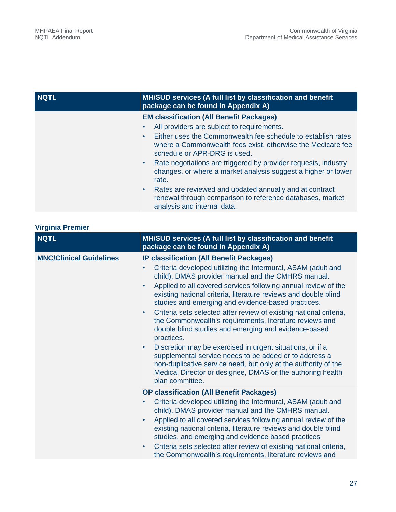| <b>NQTL</b> | MH/SUD services (A full list by classification and benefit<br>package can be found in Appendix A)                                                                                                                                                                                                                                                                                                                                                                                                                                                                                                      |
|-------------|--------------------------------------------------------------------------------------------------------------------------------------------------------------------------------------------------------------------------------------------------------------------------------------------------------------------------------------------------------------------------------------------------------------------------------------------------------------------------------------------------------------------------------------------------------------------------------------------------------|
|             | <b>EM classification (All Benefit Packages)</b><br>All providers are subject to requirements.<br>Either uses the Commonwealth fee schedule to establish rates<br>$\bullet$<br>where a Commonwealth fees exist, otherwise the Medicare fee<br>schedule or APR-DRG is used.<br>Rate negotiations are triggered by provider requests, industry<br>$\bullet$<br>changes, or where a market analysis suggest a higher or lower<br>rate.<br>Rates are reviewed and updated annually and at contract<br>$\bullet$<br>renewal through comparison to reference databases, market<br>analysis and internal data. |

| <b>Virginia Premier</b> |  |  |
|-------------------------|--|--|
|                         |  |  |

| <b>NQTL</b>                    | MH/SUD services (A full list by classification and benefit<br>package can be found in Appendix A)                                                                                                                                                                                                                                                                                                                                                                                                                                                                                                                                                                                                                                                                                                                                                                                                     |
|--------------------------------|-------------------------------------------------------------------------------------------------------------------------------------------------------------------------------------------------------------------------------------------------------------------------------------------------------------------------------------------------------------------------------------------------------------------------------------------------------------------------------------------------------------------------------------------------------------------------------------------------------------------------------------------------------------------------------------------------------------------------------------------------------------------------------------------------------------------------------------------------------------------------------------------------------|
| <b>MNC/Clinical Guidelines</b> | <b>IP classification (All Benefit Packages)</b><br>Criteria developed utilizing the Intermural, ASAM (adult and<br>$\bullet$<br>child), DMAS provider manual and the CMHRS manual.<br>Applied to all covered services following annual review of the<br>$\bullet$<br>existing national criteria, literature reviews and double blind<br>studies and emerging and evidence-based practices.<br>Criteria sets selected after review of existing national criteria,<br>$\bullet$<br>the Commonwealth's requirements, literature reviews and<br>double blind studies and emerging and evidence-based<br>practices.<br>Discretion may be exercised in urgent situations, or if a<br>$\bullet$<br>supplemental service needs to be added or to address a<br>non-duplicative service need, but only at the authority of the<br>Medical Director or designee, DMAS or the authoring health<br>plan committee. |
|                                | <b>OP classification (All Benefit Packages)</b><br>Criteria developed utilizing the Intermural, ASAM (adult and<br>$\bullet$<br>child), DMAS provider manual and the CMHRS manual.<br>Applied to all covered services following annual review of the<br>$\bullet$<br>existing national criteria, literature reviews and double blind<br>studies, and emerging and evidence based practices<br>Criteria sets selected after review of existing national criteria,<br>$\bullet$<br>the Commonwealth's requirements, literature reviews and                                                                                                                                                                                                                                                                                                                                                              |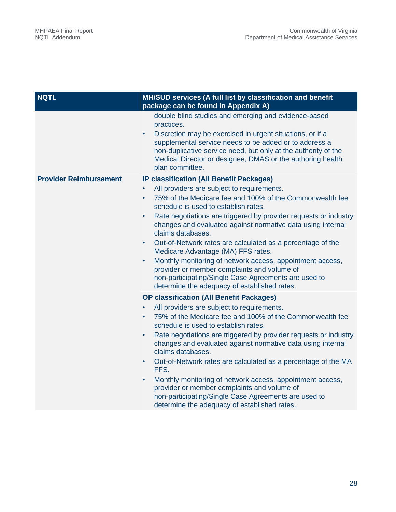| <b>NQTL</b>                   | MH/SUD services (A full list by classification and benefit<br>package can be found in Appendix A)                                                                                                                                                                                                                                                                                                                                                                                                                                                                                                                                                                                                                                                  |  |  |
|-------------------------------|----------------------------------------------------------------------------------------------------------------------------------------------------------------------------------------------------------------------------------------------------------------------------------------------------------------------------------------------------------------------------------------------------------------------------------------------------------------------------------------------------------------------------------------------------------------------------------------------------------------------------------------------------------------------------------------------------------------------------------------------------|--|--|
|                               | double blind studies and emerging and evidence-based<br>practices.<br>Discretion may be exercised in urgent situations, or if a<br>$\bullet$<br>supplemental service needs to be added or to address a<br>non-duplicative service need, but only at the authority of the<br>Medical Director or designee, DMAS or the authoring health<br>plan committee.                                                                                                                                                                                                                                                                                                                                                                                          |  |  |
| <b>Provider Reimbursement</b> | <b>IP classification (All Benefit Packages)</b><br>All providers are subject to requirements.<br>$\bullet$<br>75% of the Medicare fee and 100% of the Commonwealth fee<br>$\bullet$<br>schedule is used to establish rates.<br>Rate negotiations are triggered by provider requests or industry<br>$\bullet$<br>changes and evaluated against normative data using internal<br>claims databases.<br>Out-of-Network rates are calculated as a percentage of the<br>$\bullet$<br>Medicare Advantage (MA) FFS rates.<br>Monthly monitoring of network access, appointment access,<br>$\bullet$<br>provider or member complaints and volume of<br>non-participating/Single Case Agreements are used to<br>determine the adequacy of established rates. |  |  |
|                               | <b>OP classification (All Benefit Packages)</b><br>All providers are subject to requirements.<br>$\bullet$<br>75% of the Medicare fee and 100% of the Commonwealth fee<br>$\bullet$<br>schedule is used to establish rates.<br>Rate negotiations are triggered by provider requests or industry<br>changes and evaluated against normative data using internal<br>claims databases.<br>Out-of-Network rates are calculated as a percentage of the MA<br>$\bullet$<br>FFS.<br>Monthly monitoring of network access, appointment access,<br>$\bullet$<br>provider or member complaints and volume of<br>non-participating/Single Case Agreements are used to<br>determine the adequacy of established rates.                                         |  |  |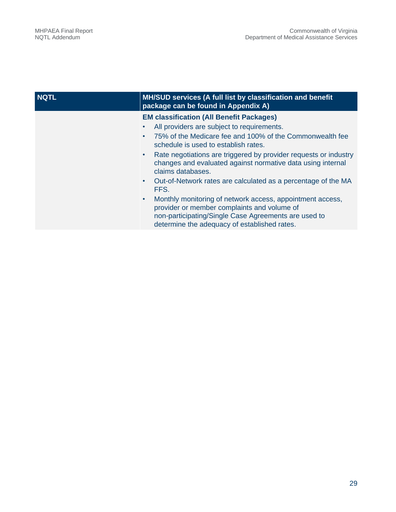| <b>NQTL</b> | MH/SUD services (A full list by classification and benefit<br>package can be found in Appendix A)                                                                                                                             |
|-------------|-------------------------------------------------------------------------------------------------------------------------------------------------------------------------------------------------------------------------------|
|             | <b>EM classification (All Benefit Packages)</b>                                                                                                                                                                               |
|             | All providers are subject to requirements.<br>$\bullet$                                                                                                                                                                       |
|             | 75% of the Medicare fee and 100% of the Commonwealth fee<br>$\bullet$<br>schedule is used to establish rates.                                                                                                                 |
|             | Rate negotiations are triggered by provider requests or industry<br>$\bullet$<br>changes and evaluated against normative data using internal<br>claims databases.                                                             |
|             | Out-of-Network rates are calculated as a percentage of the MA<br>$\bullet$<br>FFS.                                                                                                                                            |
|             | Monthly monitoring of network access, appointment access,<br>$\bullet$<br>provider or member complaints and volume of<br>non-participating/Single Case Agreements are used to<br>determine the adequacy of established rates. |